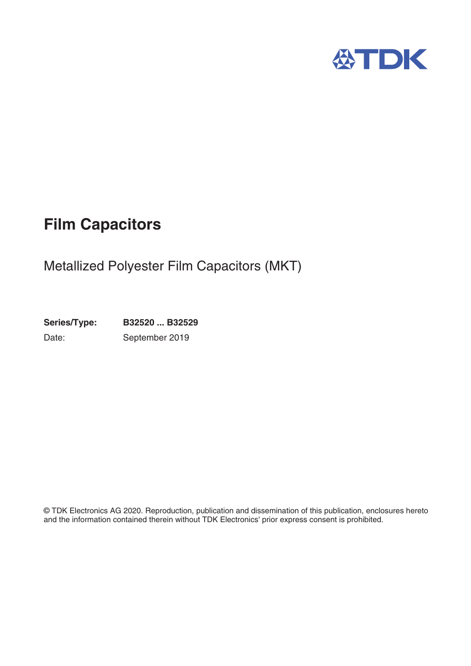

# **Film Capacitors**

# Metallized Polyester Film Capacitors (MKT)

**Series/Type: B32520 ... B32529** Date: September 2019

© TDK Electronics AG 2020. Reproduction, publication and dissemination of this publication, enclosures hereto and the information contained therein without TDK Electronics' prior express consent is prohibited.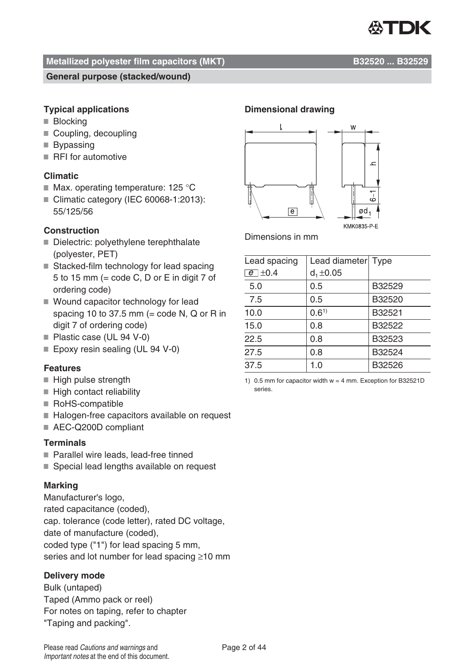

#### **General purpose (stacked/wound)**

#### **Typical applications**

- **Blocking**
- Coupling, decoupling
- Bypassing
- RFI for automotive

#### **Climatic**

- $\blacksquare$  Max. operating temperature: 125 °C
- Climatic category (IEC 60068-1:2013): 55/125/56

#### **Construction**

- Dielectric: polyethylene terephthalate (polyester, PET)
- Stacked-film technology for lead spacing 5 to 15 mm (= code C, D or E in digit 7 of ordering code)
- Wound capacitor technology for lead spacing 10 to 37.5 mm (= code N, Q or R in digit 7 of ordering code)
- Plastic case (UL 94 V-0)
- Epoxy resin sealing (UL 94 V-0)

#### **Features**

- High pulse strength
- High contact reliability
- RoHS-compatible
- Halogen-free capacitors available on request
- AEC-Q200D compliant

#### **Terminals**

- Parallel wire leads, lead-free tinned
- Special lead lengths available on request

#### **Marking**

Manufacturer's logo, rated capacitance (coded), cap. tolerance (code letter), rated DC voltage, date of manufacture (coded), coded type ("1") for lead spacing 5 mm, series and lot number for lead spacing ≥10 mm

#### **Delivery mode**

Bulk (untaped) Taped (Ammo pack or reel) For notes on taping, refer to chapter "Taping and packing".

#### **Dimensional drawing**



Dimensions in mm

| Lead spacing  | Lead diameter Type |        |
|---------------|--------------------|--------|
| $e$ $\pm$ 0.4 | $d_1 \pm 0.05$     |        |
| 5.0           | 0.5                | B32529 |
| 7.5           | 0.5                | B32520 |
| 10.0          | $0.6^{1}$          | B32521 |
| 15.0          | 0.8                | B32522 |
| 22.5          | 0.8                | B32523 |
| 27.5          | 0.8                | B32524 |
| 37.5          | 1.0                | B32526 |

1) 0.5 mm for capacitor width w = 4 mm. Exception for B32521D series.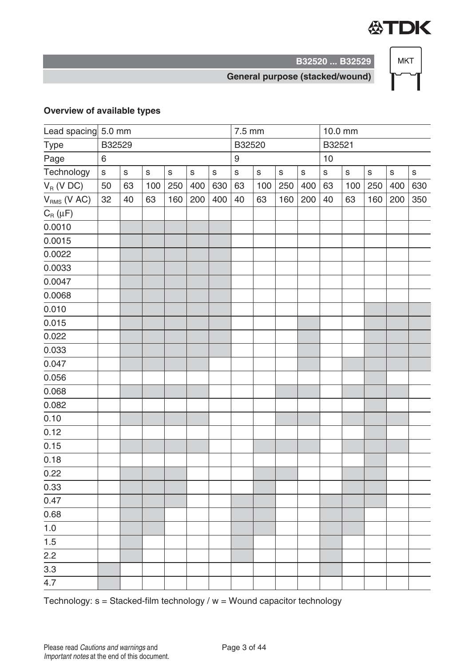

**B32520 ... B32529**

#### **General purpose (stacked/wound)**

#### **Overview of available types**

|                                                  | Lead spacing 5.0 mm |             |             |             |             |             |                  | $7.5 \text{ mm}$ |             |             |             | 10.0 mm     |              |             |             |
|--------------------------------------------------|---------------------|-------------|-------------|-------------|-------------|-------------|------------------|------------------|-------------|-------------|-------------|-------------|--------------|-------------|-------------|
| Type                                             |                     | B32529      |             |             |             |             |                  | B32520           |             |             | B32521      |             |              |             |             |
| Page                                             | 6                   |             |             |             |             |             | $\boldsymbol{9}$ |                  |             |             | 10          |             |              |             |             |
| Technology                                       | $\mathsf S$         | $\mathsf S$ | $\mathsf S$ | $\mathsf S$ | $\mathsf S$ | $\mathsf S$ | $\mathsf S$      | $\mathsf S$      | $\mathsf S$ | $\mathsf S$ | $\mathsf S$ | $\mathbf S$ | $\mathsf{s}$ | $\mathsf S$ | $\mathsf S$ |
| $V_R$ (V DC)                                     | 50                  | 63          | 100         | 250         | 400         | 630         | 63               | 100              | 250         | 400         | 63          | 100         | 250          | 400         | 630         |
| $V_{RMS}$ (V AC)                                 | 32                  | 40          | 63          | 160         | 200         | 400         | 40               | 63               | 160         | 200         | 40          | 63          | 160          | 200         | 350         |
| $C_{\textrm{\tiny R}}\left(\mu\mathsf{F}\right)$ |                     |             |             |             |             |             |                  |                  |             |             |             |             |              |             |             |
| 0.0010                                           |                     |             |             |             |             |             |                  |                  |             |             |             |             |              |             |             |
| 0.0015                                           |                     |             |             |             |             |             |                  |                  |             |             |             |             |              |             |             |
| 0.0022                                           |                     |             |             |             |             |             |                  |                  |             |             |             |             |              |             |             |
| 0.0033                                           |                     |             |             |             |             |             |                  |                  |             |             |             |             |              |             |             |
| 0.0047                                           |                     |             |             |             |             |             |                  |                  |             |             |             |             |              |             |             |
| 0.0068                                           |                     |             |             |             |             |             |                  |                  |             |             |             |             |              |             |             |
| 0.010                                            |                     |             |             |             |             |             |                  |                  |             |             |             |             |              |             |             |
| 0.015                                            |                     |             |             |             |             |             |                  |                  |             |             |             |             |              |             |             |
| 0.022                                            |                     |             |             |             |             |             |                  |                  |             |             |             |             |              |             |             |
| 0.033                                            |                     |             |             |             |             |             |                  |                  |             |             |             |             |              |             |             |
| 0.047                                            |                     |             |             |             |             |             |                  |                  |             |             |             |             |              |             |             |
| 0.056                                            |                     |             |             |             |             |             |                  |                  |             |             |             |             |              |             |             |
| 0.068                                            |                     |             |             |             |             |             |                  |                  |             |             |             |             |              |             |             |
| 0.082                                            |                     |             |             |             |             |             |                  |                  |             |             |             |             |              |             |             |
| 0.10                                             |                     |             |             |             |             |             |                  |                  |             |             |             |             |              |             |             |
| 0.12                                             |                     |             |             |             |             |             |                  |                  |             |             |             |             |              |             |             |
| 0.15                                             |                     |             |             |             |             |             |                  |                  |             |             |             |             |              |             |             |
| 0.18                                             |                     |             |             |             |             |             |                  |                  |             |             |             |             |              |             |             |
| 0.22                                             |                     |             |             |             |             |             |                  |                  |             |             |             |             |              |             |             |
| 0.33                                             |                     |             |             |             |             |             |                  |                  |             |             |             |             |              |             |             |
| 0.47                                             |                     |             |             |             |             |             |                  |                  |             |             |             |             |              |             |             |
| 0.68                                             |                     |             |             |             |             |             |                  |                  |             |             |             |             |              |             |             |
| $1.0$                                            |                     |             |             |             |             |             |                  |                  |             |             |             |             |              |             |             |
| $1.5$                                            |                     |             |             |             |             |             |                  |                  |             |             |             |             |              |             |             |
| 2.2                                              |                     |             |             |             |             |             |                  |                  |             |             |             |             |              |             |             |
| 3.3                                              |                     |             |             |             |             |             |                  |                  |             |             |             |             |              |             |             |
| 4.7                                              |                     |             |             |             |             |             |                  |                  |             |             |             |             |              |             |             |

Technology:  $s =$  Stacked-film technology /  $w =$  Wound capacitor technology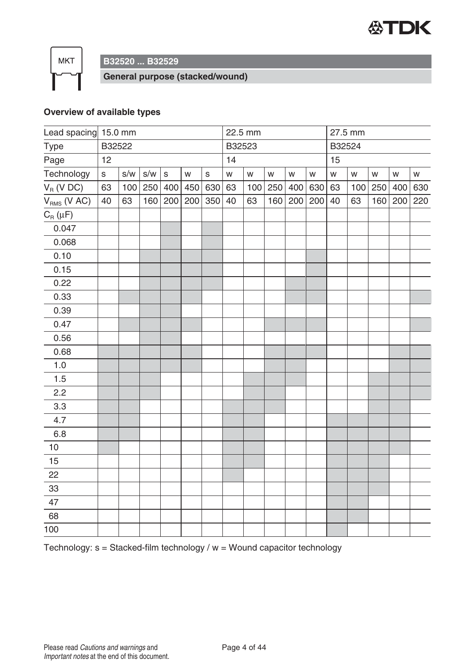

**B32520 ... B32529**

**General purpose (stacked/wound)**

#### **Overview of available types**

| Lead spacing 15.0 mm |             |        |     |             |     |              |           | 22.5 mm |           |               |     | 27.5 mm   |     |     |           |           |
|----------------------|-------------|--------|-----|-------------|-----|--------------|-----------|---------|-----------|---------------|-----|-----------|-----|-----|-----------|-----------|
| Type                 |             | B32522 |     |             |     |              |           | B32523  |           |               |     | B32524    |     |     |           |           |
| Page                 | 12          |        |     |             |     |              |           |         |           |               |     | 15        |     |     |           |           |
| Technology           | $\mathsf S$ | S/W    | S/W | $\mathsf S$ | W   | $\mathsf{s}$ | ${\sf W}$ | W       | ${\sf W}$ | ${\mathsf W}$ | W   | ${\sf W}$ | W   | W   | ${\sf W}$ | ${\sf W}$ |
| $V_R$ (V DC)         | 63          | 100    | 250 | 400         | 450 | 630          | 63        | 100     | 250       | 400           | 630 | 63        | 100 | 250 | 400       | 630       |
| $V_{RMS}$ (V AC)     | 40          | 63     | 160 | 200         | 200 | 350          | 40        | 63      | 160       | 200           | 200 | 40        | 63  | 160 | 200       | 220       |
| $C_R(\mu F)$         |             |        |     |             |     |              |           |         |           |               |     |           |     |     |           |           |
| 0.047                |             |        |     |             |     |              |           |         |           |               |     |           |     |     |           |           |
| 0.068                |             |        |     |             |     |              |           |         |           |               |     |           |     |     |           |           |
| 0.10                 |             |        |     |             |     |              |           |         |           |               |     |           |     |     |           |           |
| 0.15                 |             |        |     |             |     |              |           |         |           |               |     |           |     |     |           |           |
| 0.22                 |             |        |     |             |     |              |           |         |           |               |     |           |     |     |           |           |
| 0.33                 |             |        |     |             |     |              |           |         |           |               |     |           |     |     |           |           |
| 0.39                 |             |        |     |             |     |              |           |         |           |               |     |           |     |     |           |           |
| 0.47                 |             |        |     |             |     |              |           |         |           |               |     |           |     |     |           |           |
| 0.56                 |             |        |     |             |     |              |           |         |           |               |     |           |     |     |           |           |
| 0.68                 |             |        |     |             |     |              |           |         |           |               |     |           |     |     |           |           |
| $1.0$                |             |        |     |             |     |              |           |         |           |               |     |           |     |     |           |           |
| 1.5                  |             |        |     |             |     |              |           |         |           |               |     |           |     |     |           |           |
| 2.2                  |             |        |     |             |     |              |           |         |           |               |     |           |     |     |           |           |
| 3.3                  |             |        |     |             |     |              |           |         |           |               |     |           |     |     |           |           |
| 4.7                  |             |        |     |             |     |              |           |         |           |               |     |           |     |     |           |           |
| 6.8                  |             |        |     |             |     |              |           |         |           |               |     |           |     |     |           |           |
| 10                   |             |        |     |             |     |              |           |         |           |               |     |           |     |     |           |           |
| 15                   |             |        |     |             |     |              |           |         |           |               |     |           |     |     |           |           |
| 22                   |             |        |     |             |     |              |           |         |           |               |     |           |     |     |           |           |
| 33                   |             |        |     |             |     |              |           |         |           |               |     |           |     |     |           |           |
| 47                   |             |        |     |             |     |              |           |         |           |               |     |           |     |     |           |           |
| 68                   |             |        |     |             |     |              |           |         |           |               |     |           |     |     |           |           |
| 100                  |             |        |     |             |     |              |           |         |           |               |     |           |     |     |           |           |

Technology:  $s =$  Stacked-film technology /  $w =$  Wound capacitor technology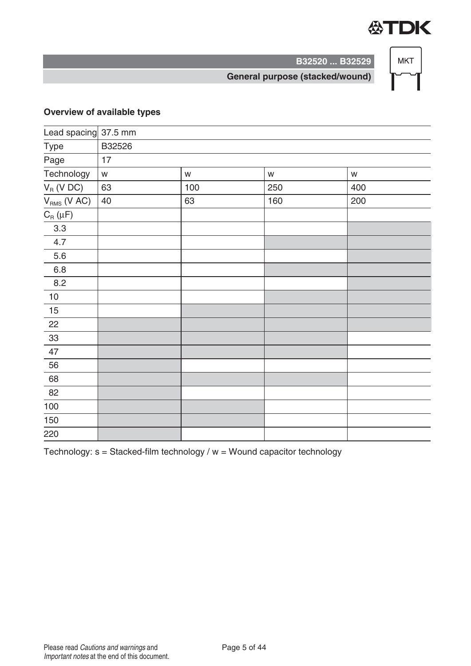

**B32520 ... B32529**

**General purpose (stacked/wound)**

#### **Overview of available types**

| Lead spacing 37.5 mm |               |           |     |
|----------------------|---------------|-----------|-----|
| B32526               |               |           |     |
| 17                   |               |           |     |
| ${\mathsf W}$        | ${\mathsf W}$ | ${\sf W}$ | W   |
| 63                   | 100           | 250       | 400 |
| 40                   | 63            | 160       | 200 |
|                      |               |           |     |
|                      |               |           |     |
|                      |               |           |     |
|                      |               |           |     |
|                      |               |           |     |
|                      |               |           |     |
|                      |               |           |     |
|                      |               |           |     |
|                      |               |           |     |
|                      |               |           |     |
|                      |               |           |     |
|                      |               |           |     |
|                      |               |           |     |
|                      |               |           |     |
|                      |               |           |     |
|                      |               |           |     |
|                      |               |           |     |
|                      |               |           |     |

Technology:  $s =$  Stacked-film technology /  $w =$  Wound capacitor technology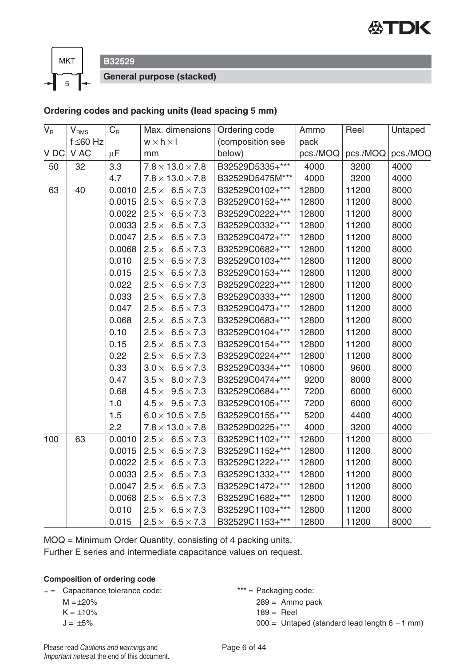



**B32529**

**General purpose (stacked)**

#### **Ordering codes and packing units (lead spacing 5 mm)**

| $V_{\rm R}$ | $V_{\rm RMS}$  | $C_{\mbox{\tiny R}}$ |                       | Max. dimensions              | Ordering code    | Ammo     | Reel     | Untaped  |
|-------------|----------------|----------------------|-----------------------|------------------------------|------------------|----------|----------|----------|
|             | $f \leq 60$ Hz |                      | $w \times h \times I$ |                              | (composition see | pack     |          |          |
| V DC        | V AC           | $\mu$ F              | mm                    |                              | below)           | pcs./MOQ | pcs./MOQ | pcs./MOQ |
| 50          | 32             | 3.3                  |                       | $7.8 \times 13.0 \times 7.8$ | B32529D5335+***  | 4000     | 3200     | 4000     |
|             |                | 4.7                  |                       | $7.8 \times 13.0 \times 7.8$ | B32529D5475M***  | 4000     | 3200     | 4000     |
| 63          | 40             | 0.0010               |                       | $2.5 \times 6.5 \times 7.3$  | B32529C0102+***  | 12800    | 11200    | 8000     |
|             |                | 0.0015               |                       | $2.5 \times 6.5 \times 7.3$  | B32529C0152+***  | 12800    | 11200    | 8000     |
|             |                | 0.0022               |                       | $2.5 \times 6.5 \times 7.3$  | B32529C0222+***  | 12800    | 11200    | 8000     |
|             |                | 0.0033               |                       | $2.5 \times 6.5 \times 7.3$  | B32529C0332+***  | 12800    | 11200    | 8000     |
|             |                | 0.0047               |                       | $2.5 \times 6.5 \times 7.3$  | B32529C0472+***  | 12800    | 11200    | 8000     |
|             |                | 0.0068               |                       | $2.5 \times 6.5 \times 7.3$  | B32529C0682+***  | 12800    | 11200    | 8000     |
|             |                | 0.010                |                       | $2.5 \times 6.5 \times 7.3$  | B32529C0103+***  | 12800    | 11200    | 8000     |
|             |                | 0.015                |                       | $2.5 \times 6.5 \times 7.3$  | B32529C0153+***  | 12800    | 11200    | 8000     |
|             |                | 0.022                |                       | $2.5 \times 6.5 \times 7.3$  | B32529C0223+***  | 12800    | 11200    | 8000     |
|             |                | 0.033                |                       | $2.5 \times 6.5 \times 7.3$  | B32529C0333+***  | 12800    | 11200    | 8000     |
|             |                | 0.047                |                       | $2.5 \times 6.5 \times 7.3$  | B32529C0473+***  | 12800    | 11200    | 8000     |
|             |                | 0.068                |                       | $2.5 \times 6.5 \times 7.3$  | B32529C0683+***  | 12800    | 11200    | 8000     |
|             |                | 0.10                 |                       | $2.5 \times 6.5 \times 7.3$  | B32529C0104+***  | 12800    | 11200    | 8000     |
|             |                | 0.15                 |                       | $2.5 \times 6.5 \times 7.3$  | B32529C0154+***  | 12800    | 11200    | 8000     |
|             |                | 0.22                 |                       | $2.5 \times 6.5 \times 7.3$  | B32529C0224+***  | 12800    | 11200    | 8000     |
|             |                | 0.33                 |                       | $3.0 \times 6.5 \times 7.3$  | B32529C0334+***  | 10800    | 9600     | 8000     |
|             |                | 0.47                 |                       | $3.5 \times 8.0 \times 7.3$  | B32529C0474+***  | 9200     | 8000     | 8000     |
|             |                | 0.68                 |                       | $4.5 \times 9.5 \times 7.3$  | B32529C0684+***  | 7200     | 6000     | 6000     |
|             |                | 1.0                  |                       | $4.5 \times 9.5 \times 7.3$  | B32529C0105+***  | 7200     | 6000     | 6000     |
|             |                | 1.5                  |                       | $6.0 \times 10.5 \times 7.5$ | B32529C0155+***  | 5200     | 4400     | 4000     |
|             |                | 2.2                  |                       | $7.8 \times 13.0 \times 7.8$ | B32529D0225+***  | 4000     | 3200     | 4000     |
| 100         | 63             | 0.0010               |                       | $2.5 \times 6.5 \times 7.3$  | B32529C1102+***  | 12800    | 11200    | 8000     |
|             |                | 0.0015               |                       | $2.5 \times 6.5 \times 7.3$  | B32529C1152+***  | 12800    | 11200    | 8000     |
|             |                | 0.0022               |                       | $2.5 \times 6.5 \times 7.3$  | B32529C1222+***  | 12800    | 11200    | 8000     |
|             |                | 0.0033               |                       | $2.5 \times 6.5 \times 7.3$  | B32529C1332+***  | 12800    | 11200    | 8000     |
|             |                | 0.0047               |                       | $2.5 \times 6.5 \times 7.3$  | B32529C1472+***  | 12800    | 11200    | 8000     |
|             |                | 0.0068               |                       | $2.5 \times 6.5 \times 7.3$  | B32529C1682+***  | 12800    | 11200    | 8000     |
|             |                | 0.010                |                       | $2.5 \times 6.5 \times 7.3$  | B32529C1103+***  | 12800    | 11200    | 8000     |
|             |                | 0.015                |                       | $2.5 \times 6.5 \times 7.3$  | B32529C1153+***  | 12800    | 11200    | 8000     |

MOQ = Minimum Order Quantity, consisting of 4 packing units.

Further E series and intermediate capacitance values on request.

#### **Composition of ordering code**

+ = Capacitance tolerance code: \*\*\* = Packaging code:

 $M = \pm 20\%$ 

 $K = \pm 10\%$ 

 $J = \pm 5\%$ 

289 = Ammo pack

 $189 =$  Reel

 $000 =$  Untaped (standard lead length  $6 - 1$  mm)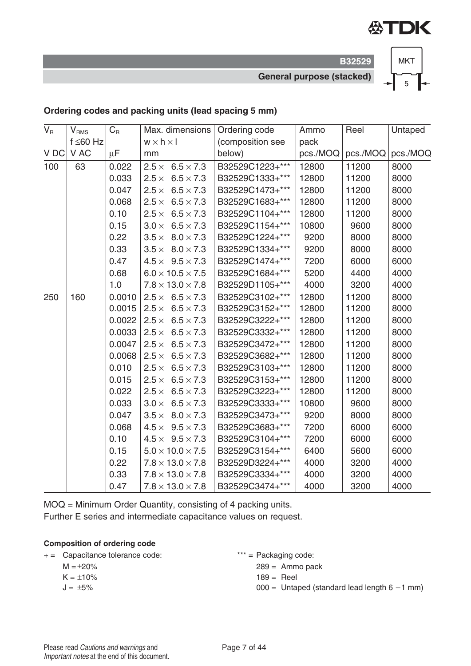

**B32529 General purpose (stacked)**



#### **Ordering codes and packing units (lead spacing 5 mm)**

| $V_R$ | $V_{RMS}$      | $C_R$  | Max. dimensions              | Ordering code    | Ammo     | Reel     | Untaped  |
|-------|----------------|--------|------------------------------|------------------|----------|----------|----------|
|       | $f \leq 60$ Hz |        | $w \times h \times l$        | (composition see | pack     |          |          |
| V DC  | V AC           | μF     | mm                           | below)           | pcs./MOQ | pcs./MOQ | pcs./MOQ |
| 100   | 63             | 0.022  | $2.5 \times 6.5 \times 7.3$  | B32529C1223+***  | 12800    | 11200    | 8000     |
|       |                | 0.033  | $2.5 \times 6.5 \times 7.3$  | B32529C1333+***  | 12800    | 11200    | 8000     |
|       |                | 0.047  | $2.5 \times 6.5 \times 7.3$  | B32529C1473+***  | 12800    | 11200    | 8000     |
|       |                | 0.068  | $2.5 \times 6.5 \times 7.3$  | B32529C1683+***  | 12800    | 11200    | 8000     |
|       |                | 0.10   | $2.5 \times 6.5 \times 7.3$  | B32529C1104+***  | 12800    | 11200    | 8000     |
|       |                | 0.15   | $3.0 \times 6.5 \times 7.3$  | B32529C1154+***  | 10800    | 9600     | 8000     |
|       |                | 0.22   | $3.5 \times 8.0 \times 7.3$  | B32529C1224+***  | 9200     | 8000     | 8000     |
|       |                | 0.33   | $3.5 \times 8.0 \times 7.3$  | B32529C1334+***  | 9200     | 8000     | 8000     |
|       |                | 0.47   | $4.5 \times 9.5 \times 7.3$  | B32529C1474+***  | 7200     | 6000     | 6000     |
|       |                | 0.68   | $6.0 \times 10.5 \times 7.5$ | B32529C1684+***  | 5200     | 4400     | 4000     |
|       |                | 1.0    | $7.8 \times 13.0 \times 7.8$ | B32529D1105+***  | 4000     | 3200     | 4000     |
| 250   | 160            | 0.0010 | $2.5 \times 6.5 \times 7.3$  | B32529C3102+***  | 12800    | 11200    | 8000     |
|       |                | 0.0015 | $2.5 \times 6.5 \times 7.3$  | B32529C3152+***  | 12800    | 11200    | 8000     |
|       |                | 0.0022 | $2.5 \times 6.5 \times 7.3$  | B32529C3222+***  | 12800    | 11200    | 8000     |
|       |                | 0.0033 | $2.5 \times 6.5 \times 7.3$  | B32529C3332+***  | 12800    | 11200    | 8000     |
|       |                | 0.0047 | $2.5 \times 6.5 \times 7.3$  | B32529C3472+***  | 12800    | 11200    | 8000     |
|       |                | 0.0068 | $2.5 \times 6.5 \times 7.3$  | B32529C3682+***  | 12800    | 11200    | 8000     |
|       |                | 0.010  | $2.5 \times 6.5 \times 7.3$  | B32529C3103+***  | 12800    | 11200    | 8000     |
|       |                | 0.015  | $2.5 \times 6.5 \times 7.3$  | B32529C3153+***  | 12800    | 11200    | 8000     |
|       |                | 0.022  | $2.5 \times 6.5 \times 7.3$  | B32529C3223+***  | 12800    | 11200    | 8000     |
|       |                | 0.033  | $3.0 \times 6.5 \times 7.3$  | B32529C3333+***  | 10800    | 9600     | 8000     |
|       |                | 0.047  | $3.5 \times 8.0 \times 7.3$  | B32529C3473+***  | 9200     | 8000     | 8000     |
|       |                | 0.068  | $4.5 \times 9.5 \times 7.3$  | B32529C3683+***  | 7200     | 6000     | 6000     |
|       |                | 0.10   | $4.5 \times 9.5 \times 7.3$  | B32529C3104+***  | 7200     | 6000     | 6000     |
|       |                | 0.15   | $5.0 \times 10.0 \times 7.5$ | B32529C3154+***  | 6400     | 5600     | 6000     |
|       |                | 0.22   | $7.8 \times 13.0 \times 7.8$ | B32529D3224+***  | 4000     | 3200     | 4000     |
|       |                | 0.33   | $7.8 \times 13.0 \times 7.8$ | B32529C3334+***  | 4000     | 3200     | 4000     |
|       |                | 0.47   | $7.8 \times 13.0 \times 7.8$ | B32529C3474+***  | 4000     | 3200     | 4000     |

MOQ = Minimum Order Quantity, consisting of 4 packing units. Further E series and intermediate capacitance values on request.

#### **Composition of ordering code**

+ = Capacitance tolerance code:  $***$  = Packaging code:

 $M = +20%$ 

- $K = \pm 10\%$
- $J = \pm 5\%$
- - $289 =$  Ammo pack
	- $189 =$  Reel
	- $000 =$  Untaped (standard lead length  $6 1$  mm)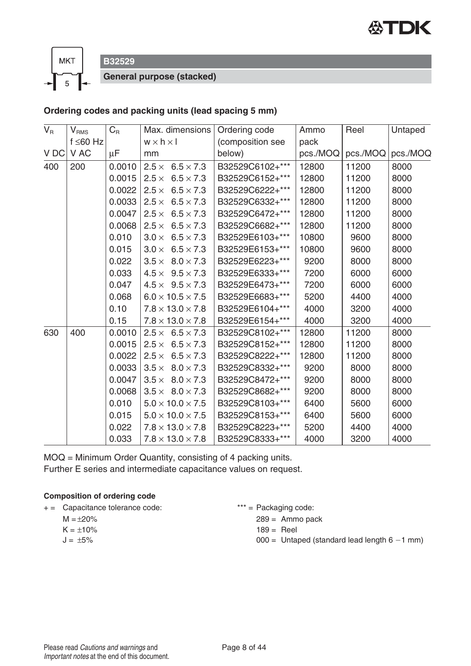



**B32529**

**General purpose (stacked)**

#### **Ordering codes and packing units (lead spacing 5 mm)**

| $V_R$ | $\mathsf{V}_{\mathsf{RMS}}$ | $C_R$   | Max. dimensions                  | Ordering code    | Ammo     | Reel    | Untaped  |
|-------|-----------------------------|---------|----------------------------------|------------------|----------|---------|----------|
|       | $f \leq 60$ Hz              |         | $w \times h \times l$            | (composition see | pack     |         |          |
| V DC  | V AC                        | $\mu$ F | mm                               | below)           | pcs./MOQ | pcs/MOQ | pcs./MOQ |
| 400   | 200                         | 0.0010  | $2.5 \times 6.5 \times 7.3$      | B32529C6102+***  | 12800    | 11200   | 8000     |
|       |                             | 0.0015  | $2.5 \times 6.5 \times 7.3$      | B32529C6152+***  | 12800    | 11200   | 8000     |
|       |                             | 0.0022  | $2.5 \times 6.5 \times 7.3$      | B32529C6222+***  | 12800    | 11200   | 8000     |
|       |                             | 0.0033  | $6.5 \times 7.3$<br>$2.5\times$  | B32529C6332+***  | 12800    | 11200   | 8000     |
|       |                             | 0.0047  | $2.5\times$<br>$6.5 \times 7.3$  | B32529C6472+***  | 12800    | 11200   | 8000     |
|       |                             | 0.0068  | $2.5 \times 6.5 \times 7.3$      | B32529C6682+***  | 12800    | 11200   | 8000     |
|       |                             | 0.010   | $3.0 \times$<br>$6.5 \times 7.3$ | B32529E6103+***  | 10800    | 9600    | 8000     |
|       |                             | 0.015   | $3.0 \times 6.5 \times 7.3$      | B32529E6153+***  | 10800    | 9600    | 8000     |
|       |                             | 0.022   | $3.5 \times 8.0 \times 7.3$      | B32529E6223+***  | 9200     | 8000    | 8000     |
|       |                             | 0.033   | $4.5 \times 9.5 \times 7.3$      | B32529E6333+***  | 7200     | 6000    | 6000     |
|       |                             | 0.047   | $4.5 \times 9.5 \times 7.3$      | B32529E6473+***  | 7200     | 6000    | 6000     |
|       |                             | 0.068   | $6.0 \times 10.5 \times 7.5$     | B32529E6683+***  | 5200     | 4400    | 4000     |
|       |                             | 0.10    | $7.8 \times 13.0 \times 7.8$     | B32529E6104+***  | 4000     | 3200    | 4000     |
|       |                             | 0.15    | $7.8 \times 13.0 \times 7.8$     | B32529E6154+***  | 4000     | 3200    | 4000     |
| 630   | 400                         | 0.0010  | $2.5 \times 6.5 \times 7.3$      | B32529C8102+***  | 12800    | 11200   | 8000     |
|       |                             | 0.0015  | $2.5 \times 6.5 \times 7.3$      | B32529C8152+***  | 12800    | 11200   | 8000     |
|       |                             | 0.0022  | $2.5 \times 6.5 \times 7.3$      | B32529C8222+***  | 12800    | 11200   | 8000     |
|       |                             | 0.0033  | $3.5 \times 8.0 \times 7.3$      | B32529C8332+***  | 9200     | 8000    | 8000     |
|       |                             | 0.0047  | $3.5 \times 8.0 \times 7.3$      | B32529C8472+***  | 9200     | 8000    | 8000     |
|       |                             | 0.0068  | $3.5 \times 8.0 \times 7.3$      | B32529C8682+***  | 9200     | 8000    | 8000     |
|       |                             | 0.010   | $5.0 \times 10.0 \times 7.5$     | B32529C8103+***  | 6400     | 5600    | 6000     |
|       |                             | 0.015   | $5.0 \times 10.0 \times 7.5$     | B32529C8153+***  | 6400     | 5600    | 6000     |
|       |                             | 0.022   | $7.8 \times 13.0 \times 7.8$     | B32529C8223+***  | 5200     | 4400    | 4000     |
|       |                             | 0.033   | $7.8 \times 13.0 \times 7.8$     | B32529C8333+***  | 4000     | 3200    | 4000     |

MOQ = Minimum Order Quantity, consisting of 4 packing units. Further E series and intermediate capacitance values on request.

#### **Composition of ordering code**

+ = Capacitance tolerance code: \*\*\* = Packaging code:

- $M = \pm 20\%$
- $K = \pm 10\%$
- $J = \pm 5\%$
- - 289 = Ammo pack
	- $189 =$  Reel
	- $000 =$  Untaped (standard lead length  $6 1$  mm)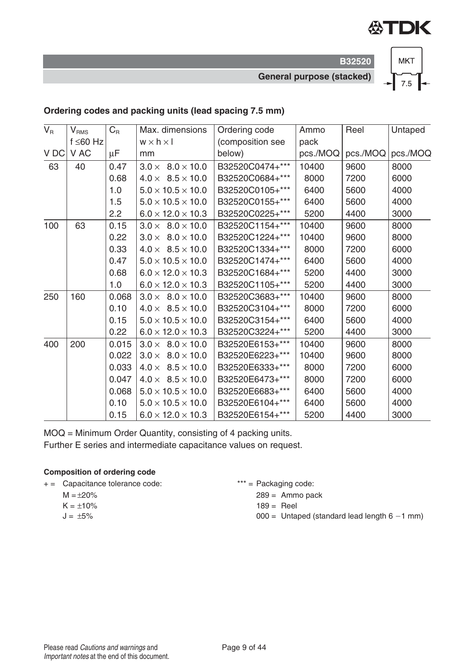

**B32520 General purpose (stacked)**



#### **Ordering codes and packing units (lead spacing 7.5 mm)**

| $V_R$ | V <sub>RMS</sub> | $C_R$   | Max. dimensions               | Ordering code    | Ammo     | Reel     | Untaped  |
|-------|------------------|---------|-------------------------------|------------------|----------|----------|----------|
|       | $f \leq 60$ Hz   |         | $w \times h \times I$         | (composition see | pack     |          |          |
| V DC  | V AC             | $\mu$ F | mm                            | below)           | pcs./MOQ | pcs./MOQ | pcs./MOQ |
| 63    | 40               | 0.47    | $3.0 \times 8.0 \times 10.0$  | B32520C0474+***  | 10400    | 9600     | 8000     |
|       |                  | 0.68    | $4.0 \times 8.5 \times 10.0$  | B32520C0684+***  | 8000     | 7200     | 6000     |
|       |                  | 1.0     | $5.0 \times 10.5 \times 10.0$ | B32520C0105+***  | 6400     | 5600     | 4000     |
|       |                  | 1.5     | $5.0 \times 10.5 \times 10.0$ | B32520C0155+***  | 6400     | 5600     | 4000     |
|       |                  | 2.2     | $6.0 \times 12.0 \times 10.3$ | B32520C0225+***  | 5200     | 4400     | 3000     |
| 100   | 63               | 0.15    | $3.0 \times 8.0 \times 10.0$  | B32520C1154+***  | 10400    | 9600     | 8000     |
|       |                  | 0.22    | $3.0 \times 8.0 \times 10.0$  | B32520C1224+***  | 10400    | 9600     | 8000     |
|       |                  | 0.33    | $4.0 \times 8.5 \times 10.0$  | B32520C1334+***  | 8000     | 7200     | 6000     |
|       |                  | 0.47    | $5.0 \times 10.5 \times 10.0$ | B32520C1474+***  | 6400     | 5600     | 4000     |
|       |                  | 0.68    | $6.0 \times 12.0 \times 10.3$ | B32520C1684+***  | 5200     | 4400     | 3000     |
|       |                  | 1.0     | $6.0 \times 12.0 \times 10.3$ | B32520C1105+***  | 5200     | 4400     | 3000     |
| 250   | 160              | 0.068   | $3.0 \times 8.0 \times 10.0$  | B32520C3683+***  | 10400    | 9600     | 8000     |
|       |                  | 0.10    | $4.0 \times 8.5 \times 10.0$  | B32520C3104+***  | 8000     | 7200     | 6000     |
|       |                  | 0.15    | $5.0 \times 10.5 \times 10.0$ | B32520C3154+***  | 6400     | 5600     | 4000     |
|       |                  | 0.22    | $6.0 \times 12.0 \times 10.3$ | B32520C3224+***  | 5200     | 4400     | 3000     |
| 400   | 200              | 0.015   | $3.0 \times 8.0 \times 10.0$  | B32520E6153+***  | 10400    | 9600     | 8000     |
|       |                  | 0.022   | $3.0 \times 8.0 \times 10.0$  | B32520E6223+***  | 10400    | 9600     | 8000     |
|       |                  | 0.033   | $4.0 \times 8.5 \times 10.0$  | B32520E6333+***  | 8000     | 7200     | 6000     |
|       |                  | 0.047   | $4.0 \times 8.5 \times 10.0$  | B32520E6473+***  | 8000     | 7200     | 6000     |
|       |                  | 0.068   | $5.0 \times 10.5 \times 10.0$ | B32520E6683+***  | 6400     | 5600     | 4000     |
|       |                  | 0.10    | $5.0 \times 10.5 \times 10.0$ | B32520E6104+***  | 6400     | 5600     | 4000     |
|       |                  | 0.15    | $6.0 \times 12.0 \times 10.3$ | B32520E6154+***  | 5200     | 4400     | 3000     |

MOQ = Minimum Order Quantity, consisting of 4 packing units.

Further E series and intermediate capacitance values on request.

#### **Composition of ordering code**

- + = Capacitance tolerance code:  $***$  = Packaging code:
	- $M = \pm 20\%$
	- $K = \pm 10\%$  $J = \pm 5\%$
	-

289 = Ammo pack

- $189 =$  Reel
- $000 =$  Untaped (standard lead length  $6 1$  mm)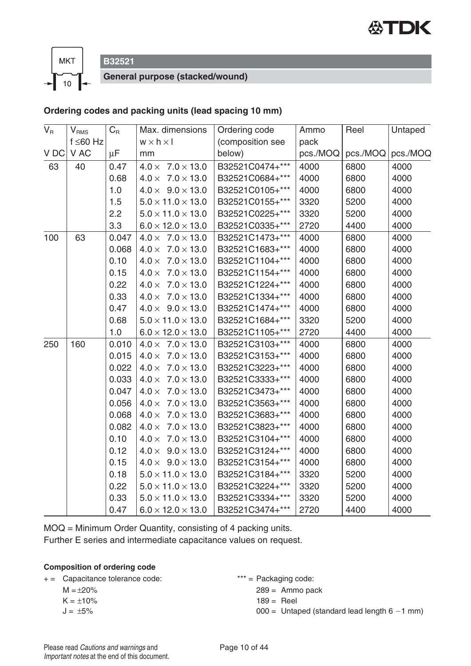



**B32521**

**General purpose (stacked/wound)**

#### **Ordering codes and packing units (lead spacing 10 mm)**

| $V_{\rm R}$ | $\mathsf{V}_{\mathsf{RMS}}$ | $C_R$   | Max. dimensions                   | Ordering code    | Ammo     | Reel     | Untaped  |
|-------------|-----------------------------|---------|-----------------------------------|------------------|----------|----------|----------|
|             | f ≤60 Hz                    |         | $w \times h \times I$             | (composition see | pack     |          |          |
| V DC        | V AC                        | $\mu$ F | mm                                | below)           | pcs./MOQ | pcs./MOQ | pcs./MOQ |
| 63          | 40                          | 0.47    | $4.0 \times 7.0 \times 13.0$      | B32521C0474+***  | 4000     | 6800     | 4000     |
|             |                             | 0.68    | $4.0 \times 7.0 \times 13.0$      | B32521C0684+***  | 4000     | 6800     | 4000     |
|             |                             | 1.0     | $4.0 \times 9.0 \times 13.0$      | B32521C0105+***  | 4000     | 6800     | 4000     |
|             |                             | 1.5     | $5.0 \times 11.0 \times 13.0$     | B32521C0155+***  | 3320     | 5200     | 4000     |
|             |                             | 2.2     | $5.0 \times 11.0 \times 13.0$     | B32521C0225+***  | 3320     | 5200     | 4000     |
|             |                             | 3.3     | $6.0 \times 12.0 \times 13.0$     | B32521C0335+***  | 2720     | 4400     | 4000     |
| 100         | 63                          | 0.047   | $4.0 \times 7.0 \times 13.0$      | B32521C1473+***  | 4000     | 6800     | 4000     |
|             |                             | 0.068   | $4.0 \times 7.0 \times 13.0$      | B32521C1683+***  | 4000     | 6800     | 4000     |
|             |                             | 0.10    | $7.0 \times 13.0$<br>$4.0 \times$ | B32521C1104+***  | 4000     | 6800     | 4000     |
|             |                             | 0.15    | $7.0 \times 13.0$<br>$4.0 \times$ | B32521C1154+***  | 4000     | 6800     | 4000     |
|             |                             | 0.22    | $4.0 \times 7.0 \times 13.0$      | B32521C1224+***  | 4000     | 6800     | 4000     |
|             |                             | 0.33    | $4.0 \times 7.0 \times 13.0$      | B32521C1334+***  | 4000     | 6800     | 4000     |
|             |                             | 0.47    | $4.0 \times 9.0 \times 13.0$      | B32521C1474+***  | 4000     | 6800     | 4000     |
|             |                             | 0.68    | $5.0 \times 11.0 \times 13.0$     | B32521C1684+***  | 3320     | 5200     | 4000     |
|             |                             | 1.0     | $6.0 \times 12.0 \times 13.0$     | B32521C1105+***  | 2720     | 4400     | 4000     |
| 250         | 160                         | 0.010   | $4.0 \times 7.0 \times 13.0$      | B32521C3103+***  | 4000     | 6800     | 4000     |
|             |                             | 0.015   | $7.0 \times 13.0$<br>$4.0 \times$ | B32521C3153+***  | 4000     | 6800     | 4000     |
|             |                             | 0.022   | $4.0 \times 7.0 \times 13.0$      | B32521C3223+***  | 4000     | 6800     | 4000     |
|             |                             | 0.033   | $4.0 \times 7.0 \times 13.0$      | B32521C3333+***  | 4000     | 6800     | 4000     |
|             |                             | 0.047   | $7.0 \times 13.0$<br>$4.0 \times$ | B32521C3473+***  | 4000     | 6800     | 4000     |
|             |                             | 0.056   | $4.0 \times$<br>$7.0 \times 13.0$ | B32521C3563+***  | 4000     | 6800     | 4000     |
|             |                             | 0.068   | $4.0 \times 7.0 \times 13.0$      | B32521C3683+***  | 4000     | 6800     | 4000     |
|             |                             | 0.082   | $4.0 \times 7.0 \times 13.0$      | B32521C3823+***  | 4000     | 6800     | 4000     |
|             |                             | 0.10    | $4.0 \times 7.0 \times 13.0$      | B32521C3104+***  | 4000     | 6800     | 4000     |
|             |                             | 0.12    | $4.0 \times 9.0 \times 13.0$      | B32521C3124+***  | 4000     | 6800     | 4000     |
|             |                             | 0.15    | $4.0 \times 9.0 \times 13.0$      | B32521C3154+***  | 4000     | 6800     | 4000     |
|             |                             | 0.18    | $5.0 \times 11.0 \times 13.0$     | B32521C3184+***  | 3320     | 5200     | 4000     |
|             |                             | 0.22    | $5.0 \times 11.0 \times 13.0$     | B32521C3224+***  | 3320     | 5200     | 4000     |
|             |                             | 0.33    | $5.0 \times 11.0 \times 13.0$     | B32521C3334+***  | 3320     | 5200     | 4000     |
|             |                             | 0.47    | $6.0 \times 12.0 \times 13.0$     | B32521C3474+***  | 2720     | 4400     | 4000     |

MOQ = Minimum Order Quantity, consisting of 4 packing units. Further E series and intermediate capacitance values on request.

#### **Composition of ordering code**

+ = Capacitance tolerance code: \*\*\* = Packaging code:

 $M = \pm 20\%$ 

 $K = \pm 10\%$ 

 $J = \pm 5\%$ 

289 = Ammo pack

```
189 = Reel
```
 $000 =$  Untaped (standard lead length  $6 - 1$  mm)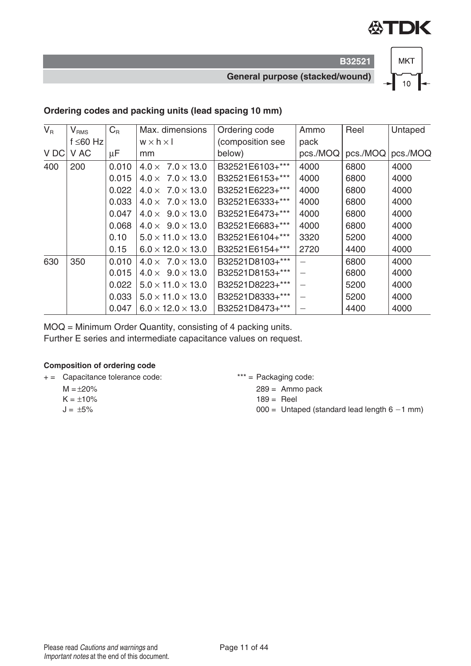

**B32521 General purpose (stacked/wound)**



#### **Ordering codes and packing units (lead spacing 10 mm)**

| $V_{\rm R}$ | $V_{RMS}$      | $C_{R}$ | Max. dimensions               | Ordering code    | Ammo     | Reel     | Untaped  |
|-------------|----------------|---------|-------------------------------|------------------|----------|----------|----------|
|             | f $\leq 60$ Hz |         | $w \times h \times I$         | (composition see | pack     |          |          |
| V DC        | V AC           | μF      | mm                            | below)           | pcs./MOQ | pcs./MOQ | pcs./MOQ |
| 400         | 200            | 0.010   | $4.0 \times 7.0 \times 13.0$  | B32521E6103+***  | 4000     | 6800     | 4000     |
|             |                | 0.015   | $4.0 \times 7.0 \times 13.0$  | B32521E6153+***  | 4000     | 6800     | 4000     |
|             |                | 0.022   | $4.0 \times 7.0 \times 13.0$  | B32521E6223+***  | 4000     | 6800     | 4000     |
|             |                | 0.033   | $4.0 \times 7.0 \times 13.0$  | B32521E6333+***  | 4000     | 6800     | 4000     |
|             |                | 0.047   | $4.0 \times 9.0 \times 13.0$  | B32521E6473+***  | 4000     | 6800     | 4000     |
|             |                | 0.068   | $4.0 \times 9.0 \times 13.0$  | B32521E6683+***  | 4000     | 6800     | 4000     |
|             |                | 0.10    | $5.0 \times 11.0 \times 13.0$ | B32521E6104+***  | 3320     | 5200     | 4000     |
|             |                | 0.15    | $6.0 \times 12.0 \times 13.0$ | B32521E6154+***  | 2720     | 4400     | 4000     |
| 630         | 350            | 0.010   | $4.0 \times 7.0 \times 13.0$  | B32521D8103+***  |          | 6800     | 4000     |
|             |                | 0.015   | $4.0 \times 9.0 \times 13.0$  | B32521D8153+***  |          | 6800     | 4000     |
|             |                | 0.022   | $5.0 \times 11.0 \times 13.0$ | B32521D8223+***  |          | 5200     | 4000     |
|             |                | 0.033   | $5.0 \times 11.0 \times 13.0$ | B32521D8333+***  |          | 5200     | 4000     |
|             |                | 0.047   | $6.0 \times 12.0 \times 13.0$ | B32521D8473+***  |          | 4400     | 4000     |

MOQ = Minimum Order Quantity, consisting of 4 packing units.

Further E series and intermediate capacitance values on request.

#### **Composition of ordering code**

+ = Capacitance tolerance code: \*\*\* = Packaging code:

- $M = +20%$  $K = \pm 10\%$
- $J = \pm 5\%$
- - $289 =$  Ammo pack
	- $189 =$  Reel
	- $000 =$  Untaped (standard lead length  $6 1$  mm)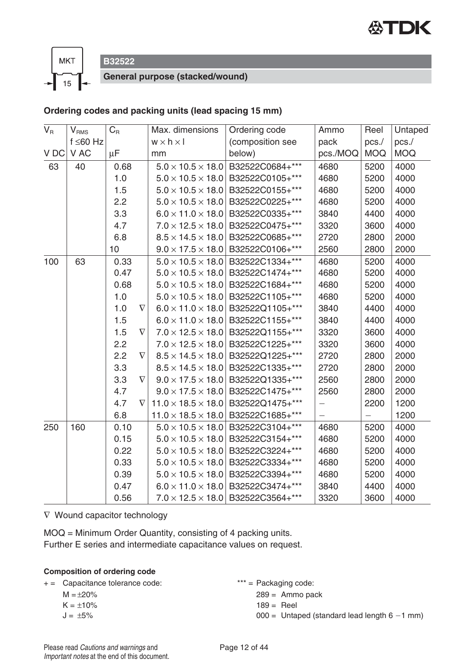



**B32522**

**General purpose (stacked/wound)**

#### **Ordering codes and packing units (lead spacing 15 mm)**

| $V_R$ | $V_{\rm RMS}$  | $C_{\rm R}$ |          | Max. dimensions                | Ordering code                                 | Ammo                     | Reel              | Untaped    |
|-------|----------------|-------------|----------|--------------------------------|-----------------------------------------------|--------------------------|-------------------|------------|
|       | $f \leq 60$ Hz |             |          | $w \times h \times I$          | (composition see                              | pack                     | pcs./             | pcs./      |
| V DC  | V AC           | $\mu$ F     |          | mm                             | below)                                        | pcs./MOQ                 | <b>MOQ</b>        | <b>MOQ</b> |
| 63    | 40             | 0.68        |          | $5.0 \times 10.5 \times 18.0$  | B32522C0684+***                               | 4680                     | 5200              | 4000       |
|       |                | 1.0         |          |                                | $5.0 \times 10.5 \times 18.0$ B32522C0105+*** | 4680                     | 5200              | 4000       |
|       |                | 1.5         |          | $5.0 \times 10.5 \times 18.0$  | B32522C0155+***                               | 4680                     | 5200              | 4000       |
|       |                | 2.2         |          | $5.0 \times 10.5 \times 18.0$  | B32522C0225+***                               | 4680                     | 5200              | 4000       |
|       |                | 3.3         |          | $6.0 \times 11.0 \times 18.0$  | B32522C0335+***                               | 3840                     | 4400              | 4000       |
|       |                | 4.7         |          | $7.0 \times 12.5 \times 18.0$  | B32522C0475+***                               | 3320                     | 3600              | 4000       |
|       |                | 6.8         |          | $8.5 \times 14.5 \times 18.0$  | B32522C0685+***                               | 2720                     | 2800              | 2000       |
|       |                | 10          |          |                                | $9.0 \times 17.5 \times 18.0$ B32522C0106+*** | 2560                     | 2800              | 2000       |
| 100   | 63             | 0.33        |          | $5.0 \times 10.5 \times 18.0$  | B32522C1334+***                               | 4680                     | 5200              | 4000       |
|       |                | 0.47        |          | $5.0 \times 10.5 \times 18.0$  | B32522C1474+***                               | 4680                     | 5200              | 4000       |
|       |                | 0.68        |          | $5.0 \times 10.5 \times 18.0$  | B32522C1684+***                               | 4680                     | 5200              | 4000       |
|       |                | 1.0         |          | $5.0 \times 10.5 \times 18.0$  | B32522C1105+***                               | 4680                     | 5200              | 4000       |
|       |                | 1.0         | $\nabla$ | $6.0 \times 11.0 \times 18.0$  | B32522Q1105+***                               | 3840                     | 4400              | 4000       |
|       |                | 1.5         |          | $6.0 \times 11.0 \times 18.0$  | B32522C1155+***                               | 3840                     | 4400              | 4000       |
|       |                | 1.5         | $\nabla$ | $7.0 \times 12.5 \times 18.0$  | B32522Q1155+***                               | 3320                     | 3600              | 4000       |
|       |                | 2.2         |          | $7.0 \times 12.5 \times 18.0$  | B32522C1225+***                               | 3320                     | 3600              | 4000       |
|       |                | 2.2         | $\nabla$ | $8.5 \times 14.5 \times 18.0$  | B32522Q1225+***                               | 2720                     | 2800              | 2000       |
|       |                | 3.3         |          | $8.5 \times 14.5 \times 18.0$  | B32522C1335+***                               | 2720                     | 2800              | 2000       |
|       |                | 3.3         | $\nabla$ | $9.0 \times 17.5 \times 18.0$  | B32522Q1335+***                               | 2560                     | 2800              | 2000       |
|       |                | 4.7         |          | $9.0 \times 17.5 \times 18.0$  | B32522C1475+***                               | 2560                     | 2800              | 2000       |
|       |                | 4.7         | $\nabla$ | $11.0 \times 18.5 \times 18.0$ | B32522Q1475+***                               | $\overline{\phantom{0}}$ | 2200              | 1200       |
|       |                | 6.8         |          | $11.0 \times 18.5 \times 18.0$ | B32522C1685+***                               | $\equiv$                 | $\qquad \qquad -$ | 1200       |
| 250   | 160            | 0.10        |          | $5.0 \times 10.5 \times 18.0$  | B32522C3104+***                               | 4680                     | 5200              | 4000       |
|       |                | 0.15        |          | $5.0 \times 10.5 \times 18.0$  | B32522C3154+***                               | 4680                     | 5200              | 4000       |
|       |                | 0.22        |          | $5.0 \times 10.5 \times 18.0$  | B32522C3224+***                               | 4680                     | 5200              | 4000       |
|       |                | 0.33        |          | $5.0 \times 10.5 \times 18.0$  | B32522C3334+***                               | 4680                     | 5200              | 4000       |
|       |                | 0.39        |          | $5.0 \times 10.5 \times 18.0$  | B32522C3394+***                               | 4680                     | 5200              | 4000       |
|       |                | 0.47        |          | $6.0 \times 11.0 \times 18.0$  | B32522C3474+***                               | 3840                     | 4400              | 4000       |
|       |                | 0.56        |          |                                | $7.0 \times 12.5 \times 18.0$ B32522C3564+*** | 3320                     | 3600              | 4000       |

∇ Wound capacitor technology

MOQ = Minimum Order Quantity, consisting of 4 packing units. Further E series and intermediate capacitance values on request.

#### **Composition of ordering code**

| + = Capacitance tolerance code: | *** = Packaging code:                          |
|---------------------------------|------------------------------------------------|
| $M = \pm 20\%$                  | $289 =$ Ammo pack                              |
| $K = \pm 10\%$                  | $189 =$ Reel                                   |
| $J = +5\%$                      | $000 =$ Untaped (standard lead length 6 -1 mm) |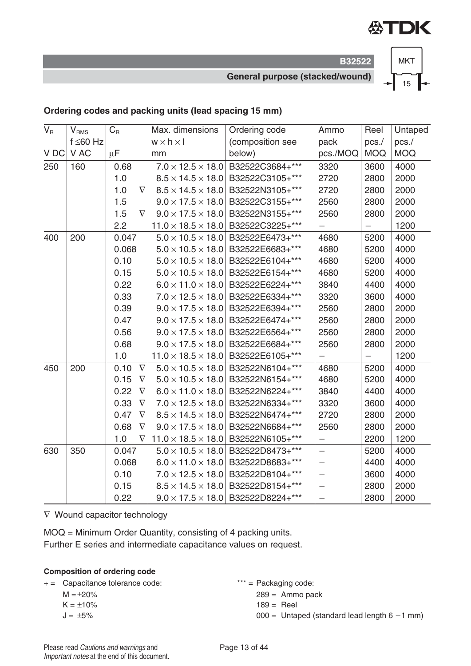

**General purpose (stacked/wound)**

**B32522**



#### **Ordering codes and packing units (lead spacing 15 mm)**

| $V_{\rm R}$ | $V_{RMS}$      | $C_R$   |          | Max. dimensions                | Ordering code                                 | Ammo                     | Reel              | Untaped    |
|-------------|----------------|---------|----------|--------------------------------|-----------------------------------------------|--------------------------|-------------------|------------|
|             | $f \leq 60$ Hz |         |          | $w \times h \times l$          | (composition see                              | pack                     | pcs./             | pcs./      |
| V DC        | V AC           | $\mu$ F |          | mm                             | below)                                        | pcs./MOQ                 | <b>MOQ</b>        | <b>MOQ</b> |
| 250         | 160            | 0.68    |          | $7.0 \times 12.5 \times 18.0$  | B32522C3684+***                               | 3320                     | 3600              | 4000       |
|             |                | 1.0     |          | $8.5 \times 14.5 \times 18.0$  | B32522C3105+***                               | 2720                     | 2800              | 2000       |
|             |                | 1.0     | $\nabla$ | $8.5 \times 14.5 \times 18.0$  | B32522N3105+***                               | 2720                     | 2800              | 2000       |
|             |                | 1.5     |          | $9.0 \times 17.5 \times 18.0$  | B32522C3155+***                               | 2560                     | 2800              | 2000       |
|             |                | 1.5     | $\nabla$ | $9.0 \times 17.5 \times 18.0$  | B32522N3155+***                               | 2560                     | 2800              | 2000       |
|             |                | 2.2     |          | $11.0 \times 18.5 \times 18.0$ | B32522C3225+***                               | $\overline{\phantom{0}}$ | —                 | 1200       |
| 400         | 200            | 0.047   |          | $5.0 \times 10.5 \times 18.0$  | B32522E6473+***                               | 4680                     | 5200              | 4000       |
|             |                | 0.068   |          | $5.0 \times 10.5 \times 18.0$  | B32522E6683+***                               | 4680                     | 5200              | 4000       |
|             |                | 0.10    |          | $5.0 \times 10.5 \times 18.0$  | B32522E6104+***                               | 4680                     | 5200              | 4000       |
|             |                | 0.15    |          | $5.0 \times 10.5 \times 18.0$  | B32522E6154+***                               | 4680                     | 5200              | 4000       |
|             |                | 0.22    |          | $6.0 \times 11.0 \times 18.0$  | B32522E6224+***                               | 3840                     | 4400              | 4000       |
|             |                | 0.33    |          | $7.0 \times 12.5 \times 18.0$  | B32522E6334+***                               | 3320                     | 3600              | 4000       |
|             |                | 0.39    |          | $9.0 \times 17.5 \times 18.0$  | B32522E6394+***                               | 2560                     | 2800              | 2000       |
|             |                | 0.47    |          | $9.0 \times 17.5 \times 18.0$  | B32522E6474+***                               | 2560                     | 2800              | 2000       |
|             |                | 0.56    |          | $9.0 \times 17.5 \times 18.0$  | B32522E6564+***                               | 2560                     | 2800              | 2000       |
|             |                | 0.68    |          | $9.0 \times 17.5 \times 18.0$  | B32522E6684+***                               | 2560                     | 2800              | 2000       |
|             |                | 1.0     |          | $11.0 \times 18.5 \times 18.0$ | B32522E6105+***                               | $\overline{\phantom{0}}$ | $\qquad \qquad -$ | 1200       |
| 450         | 200            | 0.10    | $\nabla$ | $5.0 \times 10.5 \times 18.0$  | B32522N6104+***                               | 4680                     | 5200              | 4000       |
|             |                | 0.15    | $\nabla$ | $5.0 \times 10.5 \times 18.0$  | B32522N6154+***                               | 4680                     | 5200              | 4000       |
|             |                | 0.22    | $\nabla$ | $6.0 \times 11.0 \times 18.0$  | B32522N6224+***                               | 3840                     | 4400              | 4000       |
|             |                | 0.33    | $\nabla$ | $7.0 \times 12.5 \times 18.0$  | B32522N6334+***                               | 3320                     | 3600              | 4000       |
|             |                | 0.47    | $\nabla$ | $8.5 \times 14.5 \times 18.0$  | B32522N6474+***                               | 2720                     | 2800              | 2000       |
|             |                | 0.68    | $\nabla$ | $9.0 \times 17.5 \times 18.0$  | B32522N6684+***                               | 2560                     | 2800              | 2000       |
|             |                | 1.0     | $\nabla$ | $11.0 \times 18.5 \times 18.0$ | B32522N6105+***                               | $\overline{\phantom{0}}$ | 2200              | 1200       |
| 630         | 350            | 0.047   |          | $5.0 \times 10.5 \times 18.0$  | B32522D8473+***                               | $\equiv$                 | 5200              | 4000       |
|             |                | 0.068   |          | $6.0 \times 11.0 \times 18.0$  | B32522D8683+***                               | $\overline{\phantom{0}}$ | 4400              | 4000       |
|             |                | 0.10    |          | $7.0 \times 12.5 \times 18.0$  | B32522D8104+***                               | $\overline{\phantom{0}}$ | 3600              | 4000       |
|             |                | 0.15    |          | $8.5 \times 14.5 \times 18.0$  | B32522D8154+***                               |                          | 2800              | 2000       |
|             |                | 0.22    |          |                                | $9.0 \times 17.5 \times 18.0$ B32522D8224+*** |                          | 2800              | 2000       |

∇ Wound capacitor technology

MOQ = Minimum Order Quantity, consisting of 4 packing units. Further E series and intermediate capacitance values on request.

#### **Composition of ordering code**

+ = Capacitance tolerance code:  $***$  = Packaging code:

- $M = \pm 20\%$
- $K = \pm 10\%$
- $J = \pm 5\%$

 $289 =$  Ammo pack  $189 =$  Reel  $000 =$  Untaped (standard lead length  $6 - 1$  mm)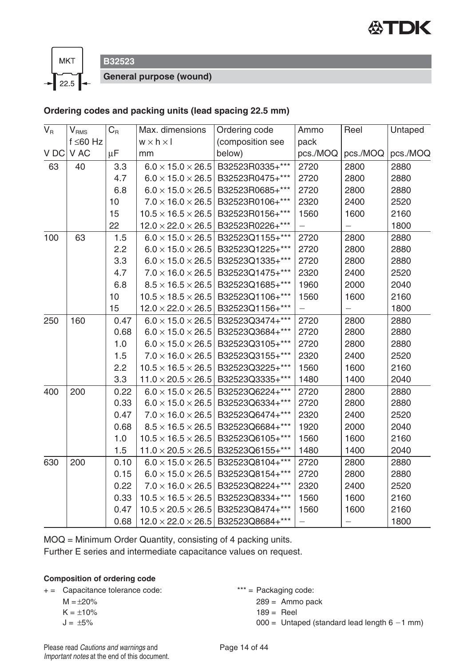



**B32523**

**General purpose (wound)**

#### **Ordering codes and packing units (lead spacing 22.5 mm)**

| $\overline{V}_{R}$ | $V_{\rm RMS}$  | $C_R$   | Max. dimensions                | Ordering code    | Ammo     | Reel                     | Untaped  |
|--------------------|----------------|---------|--------------------------------|------------------|----------|--------------------------|----------|
|                    | $f \leq 60$ Hz |         | $w \times h \times I$          | (composition see | pack     |                          |          |
| VDC                | V AC           | $\mu$ F | mm                             | below)           | pcs./MOQ | pcs./MOQ                 | pcs./MOQ |
| 63                 | 40             | 3.3     | $6.0 \times 15.0 \times 26.5$  | B32523R0335+***  | 2720     | 2800                     | 2880     |
|                    |                | 4.7     | $6.0 \times 15.0 \times 26.5$  | B32523R0475+***  | 2720     | 2800                     | 2880     |
|                    |                | 6.8     | $6.0 \times 15.0 \times 26.5$  | B32523R0685+***  | 2720     | 2800                     | 2880     |
|                    |                | 10      | $7.0 \times 16.0 \times 26.5$  | B32523R0106+***  | 2320     | 2400                     | 2520     |
|                    |                | 15      | $10.5 \times 16.5 \times 26.5$ | B32523R0156+***  | 1560     | 1600                     | 2160     |
|                    |                | 22      | $12.0 \times 22.0 \times 26.5$ | B32523R0226+***  |          |                          | 1800     |
| 100                | 63             | 1.5     | $6.0 \times 15.0 \times 26.5$  | B32523Q1155+***  | 2720     | 2800                     | 2880     |
|                    |                | 2.2     | $6.0 \times 15.0 \times 26.5$  | B32523Q1225+***  | 2720     | 2800                     | 2880     |
|                    |                | 3.3     | $6.0 \times 15.0 \times 26.5$  | B32523Q1335+***  | 2720     | 2800                     | 2880     |
|                    |                | 4.7     | $7.0 \times 16.0 \times 26.5$  | B32523Q1475+***  | 2320     | 2400                     | 2520     |
|                    |                | 6.8     | $8.5 \times 16.5 \times 26.5$  | B32523Q1685+***  | 1960     | 2000                     | 2040     |
|                    |                | 10      | $10.5 \times 18.5 \times 26.5$ | B32523Q1106+***  | 1560     | 1600                     | 2160     |
|                    |                | 15      | $12.0 \times 22.0 \times 26.5$ | B32523Q1156+***  |          |                          | 1800     |
| 250                | 160            | 0.47    | $6.0 \times 15.0 \times 26.5$  | B32523Q3474+***  | 2720     | 2800                     | 2880     |
|                    |                | 0.68    | $6.0 \times 15.0 \times 26.5$  | B32523Q3684+***  | 2720     | 2800                     | 2880     |
|                    |                | 1.0     | $6.0 \times 15.0 \times 26.5$  | B32523Q3105+***  | 2720     | 2800                     | 2880     |
|                    |                | 1.5     | $7.0 \times 16.0 \times 26.5$  | B32523Q3155+***  | 2320     | 2400                     | 2520     |
|                    |                | 2.2     | $10.5 \times 16.5 \times 26.5$ | B32523Q3225+***  | 1560     | 1600                     | 2160     |
|                    |                | 3.3     | $11.0 \times 20.5 \times 26.5$ | B32523Q3335+***  | 1480     | 1400                     | 2040     |
| 400                | 200            | 0.22    | $6.0 \times 15.0 \times 26.5$  | B32523Q6224+***  | 2720     | 2800                     | 2880     |
|                    |                | 0.33    | $6.0 \times 15.0 \times 26.5$  | B32523Q6334+***  | 2720     | 2800                     | 2880     |
|                    |                | 0.47    | $7.0 \times 16.0 \times 26.5$  | B32523Q6474+***  | 2320     | 2400                     | 2520     |
|                    |                | 0.68    | $8.5 \times 16.5 \times 26.5$  | B32523Q6684+***  | 1920     | 2000                     | 2040     |
|                    |                | 1.0     | $10.5 \times 16.5 \times 26.5$ | B32523Q6105+***  | 1560     | 1600                     | 2160     |
|                    |                | 1.5     | $11.0 \times 20.5 \times 26.5$ | B32523Q6155+***  | 1480     | 1400                     | 2040     |
| 630                | 200            | 0.10    | $6.0 \times 15.0 \times 26.5$  | B32523Q8104+***  | 2720     | 2800                     | 2880     |
|                    |                | 0.15    | $6.0 \times 15.0 \times 26.5$  | B32523Q8154+***  | 2720     | 2800                     | 2880     |
|                    |                | 0.22    | $7.0 \times 16.0 \times 26.5$  | B32523Q8224+***  | 2320     | 2400                     | 2520     |
|                    |                | 0.33    | $10.5 \times 16.5 \times 26.5$ | B32523Q8334+***  | 1560     | 1600                     | 2160     |
|                    |                | 0.47    | $10.5 \times 20.5 \times 26.5$ | B32523Q8474+***  | 1560     | 1600                     | 2160     |
|                    |                | 0.68    | $12.0 \times 22.0 \times 26.5$ | B32523Q8684+***  |          | $\overline{\phantom{0}}$ | 1800     |

MOQ = Minimum Order Quantity, consisting of 4 packing units.

Further E series and intermediate capacitance values on request.

#### **Composition of ordering code**

| $+ =$ | Capacitance tolerance code: |  |  |
|-------|-----------------------------|--|--|
|-------|-----------------------------|--|--|

$$
M=\pm 20\%
$$

$$
K=\pm10\%
$$

 $J = \pm 5\%$ 

 $*** =$  Packaging code:

 $289 =$  Ammo pack

$$
189 = \text{Reel}
$$

 $000 =$  Untaped (standard lead length  $6 - 1$  mm)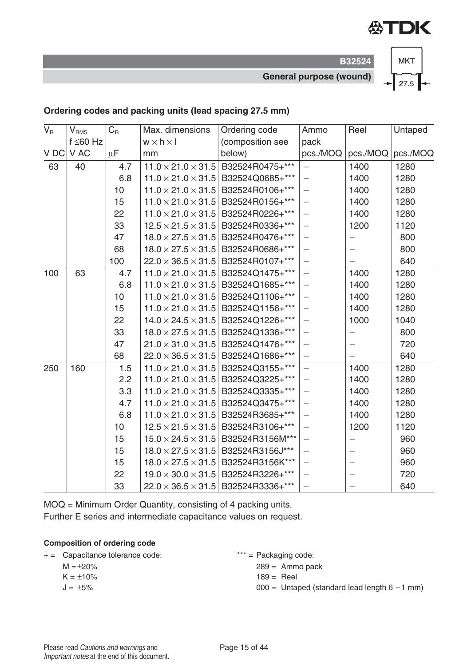

**B32524 General purpose (wound)**



#### **Ordering codes and packing units (lead spacing 27.5 mm)**

| $V_{R}$ |                | $C_{R}$ | Max. dimensions                | Ordering code                                  | Ammo                     | Reel                     | Untaped           |
|---------|----------------|---------|--------------------------------|------------------------------------------------|--------------------------|--------------------------|-------------------|
|         | $V_{RMS}$      |         |                                |                                                |                          |                          |                   |
|         | $f \leq 60$ Hz |         | $w \times h \times l$          | (composition see                               | pack                     |                          |                   |
| V DC    | V AC           | μF      | mm                             | below)                                         | pcs./MOQ                 |                          | pcs./MOQ pcs./MOQ |
| 63      | 40             | 4.7     | $11.0 \times 21.0 \times 31.5$ | B32524R0475+***                                | $-$                      | 1400                     | 1280              |
|         |                | 6.8     |                                | $11.0 \times 21.0 \times 31.5$ B32524Q0685+*** | $\equiv$                 | 1400                     | 1280              |
|         |                | 10      | $11.0 \times 21.0 \times 31.5$ | B32524R0106+***                                | $\equiv$                 | 1400                     | 1280              |
|         |                | 15      | $11.0 \times 21.0 \times 31.5$ | B32524R0156+***                                | $\overline{\phantom{0}}$ | 1400                     | 1280              |
|         |                | 22      | $11.0 \times 21.0 \times 31.5$ | B32524R0226+***                                | $\equiv$                 | 1400                     | 1280              |
|         |                | 33      |                                | $12.5 \times 21.5 \times 31.5$ B32524R0336+*** | $\equiv$                 | 1200                     | 1120              |
|         |                | 47      | $18.0 \times 27.5 \times 31.5$ | B32524R0476+***                                | $-$                      | $\overline{\phantom{0}}$ | 800               |
|         |                | 68      | $18.0 \times 27.5 \times 31.5$ | B32524R0686+***                                | $\equiv$                 |                          | 800               |
|         |                | 100     |                                | $22.0 \times 36.5 \times 31.5$ B32524R0107+*** | $\overline{\phantom{0}}$ | $\overline{\phantom{0}}$ | 640               |
| 100     | 63             | 4.7     |                                | $11.0 \times 21.0 \times 31.5$ B32524Q1475+*** | $\equiv$                 | 1400                     | 1280              |
|         |                | 6.8     |                                | $11.0 \times 21.0 \times 31.5$ B32524Q1685+*** | $\equiv$                 | 1400                     | 1280              |
|         |                | 10      |                                | $11.0 \times 21.0 \times 31.5$ B32524Q1106+*** | $\equiv$                 | 1400                     | 1280              |
|         |                | 15      | $11.0 \times 21.0 \times 31.5$ | B32524Q1156+***                                | $\equiv$                 | 1400                     | 1280              |
|         |                | 22      |                                | $14.0 \times 24.5 \times 31.5$ B32524Q1226+*** | $\equiv$                 | 1000                     | 1040              |
|         |                | 33      | $18.0 \times 27.5 \times 31.5$ | B32524Q1336+***                                | $\equiv$                 |                          | 800               |
|         |                | 47      |                                | $21.0 \times 31.0 \times 31.5$ B32524Q1476+*** | $\equiv$                 |                          | 720               |
|         |                | 68      |                                | $22.0 \times 36.5 \times 31.5$ B32524Q1686+*** | $\equiv$                 |                          | 640               |
| 250     | 160            | 1.5     | $11.0 \times 21.0 \times 31.5$ | B32524Q3155+***                                | $\equiv$                 | 1400                     | 1280              |
|         |                | 2.2     |                                | $11.0 \times 21.0 \times 31.5$ B32524Q3225+*** | $\overline{\phantom{0}}$ | 1400                     | 1280              |
|         |                | 3.3     | $11.0 \times 21.0 \times 31.5$ | B32524Q3335+***                                | $\equiv$                 | 1400                     | 1280              |
|         |                | 4.7     |                                | $11.0 \times 21.0 \times 31.5$ B32524Q3475+*** | $\equiv$                 | 1400                     | 1280              |
|         |                | 6.8     | $11.0 \times 21.0 \times 31.5$ | B32524R3685+***                                | $\overline{\phantom{0}}$ | 1400                     | 1280              |
|         |                | 10      | $12.5 \times 21.5 \times 31.5$ | B32524R3106+***                                | $\equiv$                 | 1200                     | 1120              |
|         |                | 15      | $15.0 \times 24.5 \times 31.5$ | B32524R3156M***                                | $\equiv$                 | $\overline{\phantom{0}}$ | 960               |
|         |                | 15      | $18.0 \times 27.5 \times 31.5$ | B32524R3156J***                                | $\equiv$                 | $\qquad \qquad -$        | 960               |
|         |                | 15      |                                | $18.0 \times 27.5 \times 31.5$ B32524R3156K*** | $\equiv$                 |                          | 960               |
|         |                | 22      | $19.0 \times 30.0 \times 31.5$ | B32524R3226+***                                | $\overline{\phantom{0}}$ |                          | 720               |
|         |                | 33      |                                | $22.0 \times 36.5 \times 31.5$ B32524R3336+*** |                          |                          | 640               |

MOQ = Minimum Order Quantity, consisting of 4 packing units. Further E series and intermediate capacitance values on request.

#### **Composition of ordering code**

+ = Capacitance tolerance code: \*\*\* = Packaging code:

 $M = \pm 20\%$ 

- $K = \pm 10\%$
- $J = \pm 5\%$
- - $289 =$  Ammo pack
	- $189 =$  Reel
	- $000 =$  Untaped (standard lead length  $6 1$  mm)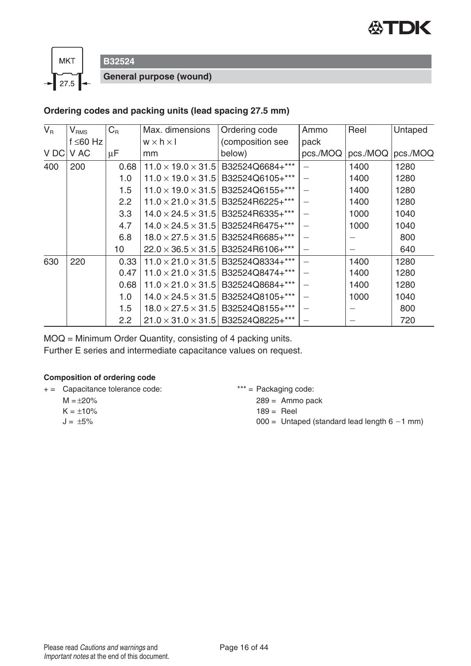



**B32524**

**General purpose (wound)**

#### **Ordering codes and packing units (lead spacing 27.5 mm)**

| $V_{R}$ | V <sub>RMS</sub> | $C_{\rm R}$      | Max. dimensions                | Ordering code                                  | Ammo     | Reel     | Untaped  |
|---------|------------------|------------------|--------------------------------|------------------------------------------------|----------|----------|----------|
|         | f $\leq 60$ Hz   |                  | $w \times h \times I$          | (composition see                               | pack     |          |          |
| V DC    | V AC             | μF               | mm                             | below)                                         | pcs./MOQ | pcs./MOQ | pcs./MOQ |
| 400     | 200              | 0.68             | $11.0 \times 19.0 \times 31.5$ | B32524Q6684+***                                | $\equiv$ | 1400     | 1280     |
|         |                  | 1.0              | $11.0 \times 19.0 \times 31.5$ | B32524Q6105+***                                |          | 1400     | 1280     |
|         |                  | 1.5              | $11.0 \times 19.0 \times 31.5$ | B32524Q6155+***                                |          | 1400     | 1280     |
|         |                  | 2.2              | $11.0 \times 21.0 \times 31.5$ | B32524R6225+***                                |          | 1400     | 1280     |
|         |                  | 3.3              | $14.0 \times 24.5 \times 31.5$ | B32524R6335+***                                |          | 1000     | 1040     |
|         |                  | 4.7              |                                | $14.0 \times 24.5 \times 31.5$ B32524R6475+*** |          | 1000     | 1040     |
|         |                  | 6.8              |                                | $18.0 \times 27.5 \times 31.5$ B32524R6685+*** |          |          | 800      |
|         |                  | 10               | $22.0 \times 36.5 \times 31.5$ | B32524R6106+***                                |          |          | 640      |
| 630     | 220              | 0.33             | $11.0 \times 21.0 \times 31.5$ | B32524Q8334+***                                |          | 1400     | 1280     |
|         |                  | 0.47             | $11.0 \times 21.0 \times 31.5$ | B32524Q8474+***                                |          | 1400     | 1280     |
|         |                  | 0.68             | $11.0 \times 21.0 \times 31.5$ | B32524Q8684+***                                |          | 1400     | 1280     |
|         |                  | 1.0              | $14.0 \times 24.5 \times 31.5$ | B32524Q8105+***                                |          | 1000     | 1040     |
|         |                  | 1.5              | $18.0 \times 27.5 \times 31.5$ | B32524Q8155+***                                | $\equiv$ |          | 800      |
|         |                  | $2.2\phantom{0}$ |                                | $21.0 \times 31.0 \times 31.5$ B32524Q8225+*** |          |          | 720      |

MOQ = Minimum Order Quantity, consisting of 4 packing units.

Further E series and intermediate capacitance values on request.

#### **Composition of ordering code**

+ = Capacitance tolerance code: \*\*\* = Packaging code:

- $M = \pm 20\%$
- $K = \pm 10\%$
- $J = \pm 5\%$

289 = Ammo pack

- $189 =$  Reel
- $000 =$  Untaped (standard lead length  $6 1$  mm)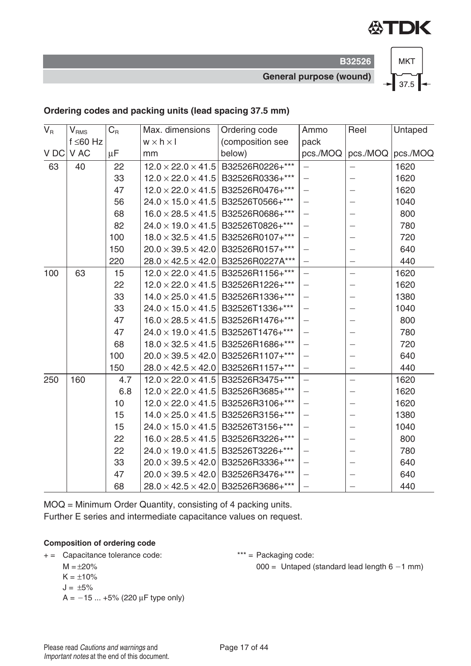

**B32526 General purpose (wound)**



#### **Ordering codes and packing units (lead spacing 37.5 mm)**

| $V_R$ | $V_{RMS}$      | $C_{R}$ | Max. dimensions       | Ordering code                                  | Ammo                     | Reel                     | Untaped           |
|-------|----------------|---------|-----------------------|------------------------------------------------|--------------------------|--------------------------|-------------------|
|       | $f \leq 60$ Hz |         | $w \times h \times I$ | (composition see                               | pack                     |                          |                   |
| VDC   | V AC           | μF      | mm                    | below)                                         | pcs./MOQ                 |                          | pcs./MOQ pcs./MOQ |
| 63    | 40             | 22      |                       | $12.0 \times 22.0 \times 41.5$ B32526R0226+*** | $\equiv$                 |                          | 1620              |
|       |                | 33      |                       | $12.0 \times 22.0 \times 41.5$ B32526R0336+*** | $\equiv$                 |                          | 1620              |
|       |                | 47      |                       | $12.0 \times 22.0 \times 41.5$ B32526R0476+*** | $\equiv$                 |                          | 1620              |
|       |                | 56      |                       | $24.0 \times 15.0 \times 41.5$ B32526T0566+*** | $\overline{\phantom{0}}$ | $\qquad \qquad -$        | 1040              |
|       |                | 68      |                       | $16.0 \times 28.5 \times 41.5$ B32526R0686+*** | $\equiv$                 | $\overline{\phantom{0}}$ | 800               |
|       |                | 82      |                       | $24.0 \times 19.0 \times 41.5$ B32526T0826+*** | $\equiv$                 | $\overline{\phantom{0}}$ | 780               |
|       |                | 100     |                       | $18.0 \times 32.5 \times 41.5$ B32526R0107+*** | $\overline{\phantom{0}}$ |                          | 720               |
|       |                | 150     |                       | $20.0 \times 39.5 \times 42.0$ B32526R0157+*** | $\equiv$                 |                          | 640               |
|       |                | 220     |                       | 28.0 × 42.5 × 42.0   B32526R0227A***           | $\overline{\phantom{0}}$ | $\qquad \qquad -$        | 440               |
| 100   | 63             | 15      |                       | $12.0 \times 22.0 \times 41.5$ B32526R1156+*** | $\equiv$                 | $\overline{\phantom{0}}$ | 1620              |
|       |                | 22      |                       | $12.0 \times 22.0 \times 41.5$ B32526R1226+*** | $\equiv$                 |                          | 1620              |
|       |                | 33      |                       | $14.0 \times 25.0 \times 41.5$ B32526R1336+*** | $\overline{\phantom{0}}$ |                          | 1380              |
|       |                | 33      |                       | $24.0 \times 15.0 \times 41.5$ B32526T1336+*** | $\overline{a}$           | $\overline{\phantom{0}}$ | 1040              |
|       |                | 47      |                       | $16.0 \times 28.5 \times 41.5$ B32526R1476+*** | $\equiv$                 | $\overline{\phantom{0}}$ | 800               |
|       |                | 47      |                       | $24.0 \times 19.0 \times 41.5$ B32526T1476+*** | $\equiv$                 |                          | 780               |
|       |                | 68      |                       | $18.0 \times 32.5 \times 41.5$ B32526R1686+*** | $\equiv$                 | $\overline{\phantom{0}}$ | 720               |
|       |                | 100     |                       | $20.0 \times 39.5 \times 42.0$ B32526R1107+*** | $\equiv$                 |                          | 640               |
|       |                | 150     |                       | $28.0 \times 42.5 \times 42.0$ B32526R1157+*** | $\equiv$                 | $\equiv$                 | 440               |
| 250   | 160            | 4.7     |                       | $12.0 \times 22.0 \times 41.5$ B32526R3475+*** | $\equiv$                 | $\equiv$                 | 1620              |
|       |                | 6.8     |                       | $12.0 \times 22.0 \times 41.5$ B32526R3685+*** | $\overline{\phantom{0}}$ |                          | 1620              |
|       |                | 10      |                       | $12.0 \times 22.0 \times 41.5$ B32526R3106+*** | $\overline{\phantom{0}}$ |                          | 1620              |
|       |                | 15      |                       | $14.0 \times 25.0 \times 41.5$ B32526R3156+*** | $\equiv$                 |                          | 1380              |
|       |                | 15      |                       | $24.0 \times 15.0 \times 41.5$ B32526T3156+*** | $\frac{1}{2}$            | $\qquad \qquad -$        | 1040              |
|       |                | 22      |                       | $16.0 \times 28.5 \times 41.5$ B32526R3226+*** | $-$                      | $\qquad \qquad -$        | 800               |
|       |                | 22      |                       | $24.0 \times 19.0 \times 41.5$ B32526T3226+*** | $\equiv$                 | $\overline{\phantom{0}}$ | 780               |
|       |                | 33      |                       | $20.0 \times 39.5 \times 42.0$ B32526R3336+*** | $\overline{\phantom{0}}$ |                          | 640               |
|       |                | 47      |                       | $20.0 \times 39.5 \times 42.0$ B32526R3476+*** | $\frac{1}{2}$            |                          | 640               |
|       |                | 68      |                       | $28.0 \times 42.5 \times 42.0$ B32526R3686+*** | $\overline{a}$           |                          | 440               |

MOQ = Minimum Order Quantity, consisting of 4 packing units. Further E series and intermediate capacitance values on request.

#### **Composition of ordering code**

+ = Capacitance tolerance code: \*\*\* = Packaging code:

 $M = \pm 20\%$ 

 $K = \pm 10\%$ 

$$
J = \pm 5\%
$$

 $A = -15 ... +5\% (220 \,\mu\text{F}$  type only)

 $000 =$  Untaped (standard lead length  $6 - 1$  mm)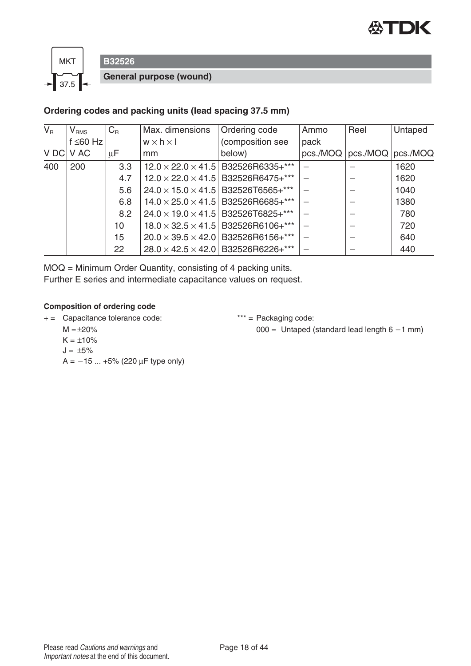



# **B32526 General purpose (wound)**

#### **Ordering codes and packing units (lead spacing 37.5 mm)**

| $V_{\rm R}$ | V <sub>RMS</sub> | $C_{R}$ | Max. dimensions       | Ordering code                                  | Ammo | Reel                           | Untaped |
|-------------|------------------|---------|-----------------------|------------------------------------------------|------|--------------------------------|---------|
|             | $f \leq 60$ Hz   |         | $w \times h \times l$ | (composition see                               | pack |                                |         |
|             | V DC V AC        | μF      | mm                    | below)                                         |      | pcs./MOQ   pcs./MOQ   pcs./MOQ |         |
| 400         | 200              | 3.3     |                       | $12.0 \times 22.0 \times 41.5$ B32526R6335+*** |      |                                | 1620    |
|             |                  | 4.7     |                       | $12.0 \times 22.0 \times 41.5$ B32526R6475+*** |      |                                | 1620    |
|             |                  | 5.6     |                       | $24.0 \times 15.0 \times 41.5$ B32526T6565+*** |      |                                | 1040    |
|             |                  | 6.8     |                       | $14.0 \times 25.0 \times 41.5$ B32526R6685+*** |      |                                | 1380    |
|             |                  | 8.2     |                       | $24.0 \times 19.0 \times 41.5$ B32526T6825+*** |      |                                | 780     |
|             |                  | 10      |                       | $18.0 \times 32.5 \times 41.5$ B32526R6106+*** |      |                                | 720     |
|             |                  | 15      |                       | $20.0 \times 39.5 \times 42.0$ B32526R6156+*** |      |                                | 640     |
|             |                  | 22      |                       | $28.0 \times 42.5 \times 42.0$ B32526R6226+*** |      |                                | 440     |

MOQ = Minimum Order Quantity, consisting of 4 packing units. Further E series and intermediate capacitance values on request.

#### **Composition of ordering code**

+ = Capacitance tolerance code: \*\*\* = Packaging code:

 $M = \pm 20\%$ 

 $000 =$  Untaped (standard lead length  $6 - 1$  mm)

- $K = \pm 10\%$
- $J = \pm 5\%$
- $A = -15 ... +5\% (220 \,\mu\text{F}$  type only)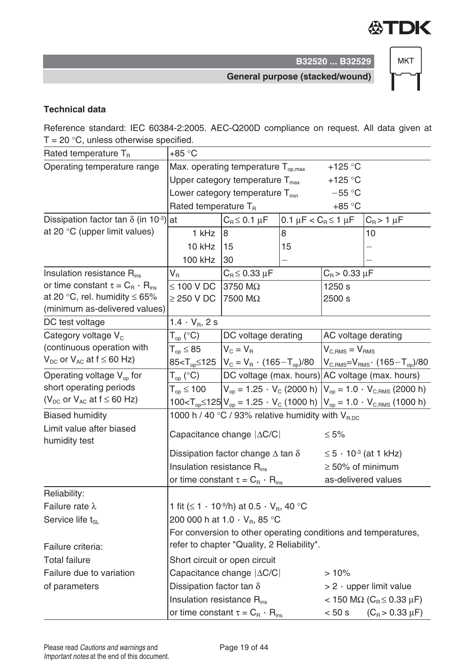

**MKT** 

**General purpose (stacked/wound)**

#### **Technical data**

Reference standard: IEC 60384-2:2005. AEC-Q200D compliance on request. All data given at  $T = 20 °C$ , unless otherwise specified.

| Rated temperature $T_R$                                              | $+85 °C$                                                     |                                                                          |                                               |                                     |                                                                                                     |  |
|----------------------------------------------------------------------|--------------------------------------------------------------|--------------------------------------------------------------------------|-----------------------------------------------|-------------------------------------|-----------------------------------------------------------------------------------------------------|--|
| Operating temperature range                                          |                                                              | Max. operating temperature $T_{op,max}$                                  |                                               | +125 $\degree$ C                    |                                                                                                     |  |
|                                                                      |                                                              | Upper category temperature $T_{\text{max}}$                              |                                               | +125 $\degree$ C                    |                                                                                                     |  |
|                                                                      | Lower category temperature $T_{min}$<br>$-55 °C$             |                                                                          |                                               |                                     |                                                                                                     |  |
|                                                                      | Rated temperature $T_R$<br>$+85 °C$                          |                                                                          |                                               |                                     |                                                                                                     |  |
| Dissipation factor tan $\delta$ (in 10 <sup>-3</sup> )               | at                                                           | $C_{\rm B}$ $\leq$ 0.1 $\mu$ F                                           | 0.1 $\mu$ F < C <sub>R</sub> $\leq$ 1 $\mu$ F |                                     | $C_R$ > 1 $\mu$ F                                                                                   |  |
| at 20 °C (upper limit values)                                        | 1 kHz                                                        | 8                                                                        | 8                                             |                                     | 10                                                                                                  |  |
|                                                                      | 10 kHz                                                       | 15                                                                       | 15                                            |                                     |                                                                                                     |  |
|                                                                      | <b>100 kHz</b>                                               | 30                                                                       |                                               |                                     |                                                                                                     |  |
| Insulation resistance $R_{ins}$                                      | $V_R$                                                        | $C_B \leq 0.33 \mu F$                                                    |                                               | $C_{B}$ > 0.33 $\mu$ F              |                                                                                                     |  |
| or time constant $\tau = C_{\rm B} \cdot R_{\rm ins}$                | $\leq$ 100 V DC                                              | 3750 MΩ                                                                  |                                               | 1250 s                              |                                                                                                     |  |
| at 20 °C, rel. humidity $\leq 65\%$                                  | $\geq$ 250 V DC                                              | 7500 MΩ                                                                  |                                               | 2500 s                              |                                                                                                     |  |
| (minimum as-delivered values)                                        |                                                              |                                                                          |                                               |                                     |                                                                                                     |  |
| DC test voltage                                                      | 1.4 $\cdot$ V <sub>R</sub> , 2 s                             |                                                                          |                                               |                                     |                                                                                                     |  |
| Category voltage V <sub>c</sub><br>(continuous operation with        | $\mathsf{T}_{\mathsf{op}}$ (°C)                              | DC voltage derating                                                      |                                               |                                     | AC voltage derating                                                                                 |  |
| $V_{DC}$ or $V_{AC}$ at $f \leq 60$ Hz)                              | $T_{op} \leq 85$                                             | $V_C = V_B$                                                              |                                               | $V_{C RMS} = V_{RMS}$               |                                                                                                     |  |
|                                                                      |                                                              | $85 < T_{op} \le 125$ $ V_C = V_R \cdot (165 - T_{op})/80$               |                                               |                                     | $ V_{C,RMS} = V_{RMS} \cdot (165 - T_{op})/80$                                                      |  |
| Operating voltage $V_{op}$ for                                       | $T_{op}$ (°C)                                                |                                                                          |                                               |                                     | DC voltage (max. hours) AC voltage (max. hours)                                                     |  |
| short operating periods<br>( $V_{DC}$ or $V_{AC}$ at $f \leq 60$ Hz) | $T_{\text{on}} \leq 100$                                     |                                                                          |                                               |                                     | $V_{op}$ = 1.25 $\cdot$ V <sub>c</sub> (2000 h) $V_{op}$ = 1.0 $\cdot$ V <sub>C.RMS</sub> (2000 h)  |  |
|                                                                      |                                                              |                                                                          |                                               |                                     | $100 < T_{op} \le 125$ $V_{op} = 1.25 \cdot V_{C}$ (1000 h) $V_{op} = 1.0 \cdot V_{C,RMS}$ (1000 h) |  |
| <b>Biased humidity</b>                                               | 1000 h / 40 °C / 93% relative humidity with V <sub>RDC</sub> |                                                                          |                                               |                                     |                                                                                                     |  |
| Limit value after biased<br>humidity test                            |                                                              | Capacitance change   $\Delta$ C/C                                        |                                               | $\leq 5\%$                          |                                                                                                     |  |
|                                                                      |                                                              | Dissipation factor change $\Delta$ tan $\delta$                          |                                               |                                     | $≤ 5 \cdot 10^{-3}$ (at 1 kHz)                                                                      |  |
|                                                                      | Insulation resistance $R_{ins}$                              |                                                                          |                                               | $\geq$ 50% of minimum               |                                                                                                     |  |
|                                                                      |                                                              | or time constant $\tau = C_{\rm B} \cdot R_{\rm ins}$                    |                                               |                                     | as-delivered values                                                                                 |  |
| Reliability:                                                         |                                                              |                                                                          |                                               |                                     |                                                                                                     |  |
| Failure rate $\lambda$                                               |                                                              | 1 fit ( $\leq 1 \cdot 10^{-9}$ /h) at 0.5 $\cdot$ V <sub>B</sub> , 40 °C |                                               |                                     |                                                                                                     |  |
| Service life t <sub>SL</sub>                                         |                                                              | 200 000 h at 1.0 $\cdot$ V <sub>B</sub> , 85 °C                          |                                               |                                     |                                                                                                     |  |
|                                                                      |                                                              |                                                                          |                                               |                                     | For conversion to other operating conditions and temperatures,                                      |  |
| Failure criteria:                                                    |                                                              | refer to chapter "Quality, 2 Reliability".                               |                                               |                                     |                                                                                                     |  |
| <b>Total failure</b>                                                 |                                                              | Short circuit or open circuit                                            |                                               |                                     |                                                                                                     |  |
| Failure due to variation                                             |                                                              | Capacitance change $ \Delta C/C $                                        |                                               | >10%                                |                                                                                                     |  |
| of parameters                                                        | Dissipation factor tan $\delta$                              |                                                                          |                                               | $> 2 \cdot$ upper limit value       |                                                                                                     |  |
|                                                                      | Insulation resistance $R_{ins}$                              |                                                                          |                                               | < 150 MΩ (C <sub>R</sub> ≤ 0.33 μF) |                                                                                                     |  |
|                                                                      | or time constant $\tau = C_{\rm B} \cdot R_{\rm ins}$        |                                                                          |                                               | < 50 s<br>$(C_R > 0.33 \mu F)$      |                                                                                                     |  |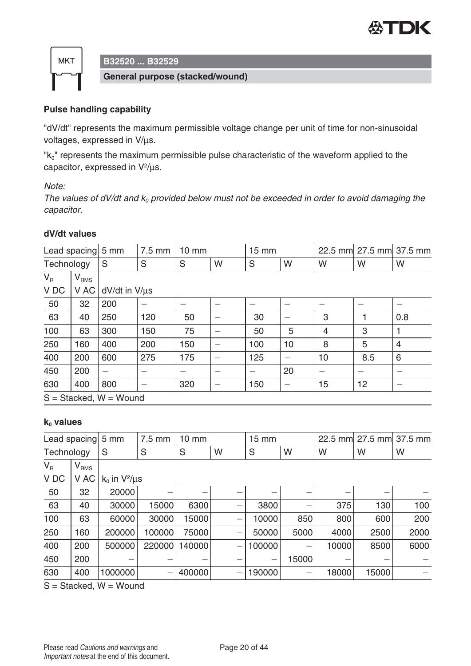



**General purpose (stacked/wound)**

#### **Pulse handling capability**

"dV/dt" represents the maximum permissible voltage change per unit of time for non-sinusoidal voltages, expressed in V/μs.

"k<sub>0</sub>" represents the maximum permissible pulse characteristic of the waveform applied to the capacitor, expressed in V2/μs.

Note:

The values of dV/dt and  $k_0$  provided below must not be exceeded in order to avoid damaging the capacitor.

#### **dV/dt values**

|       | Lead spacing 5 mm                        |     | 7.5 mm        | $10 \text{ mm}$ |   | $15 \text{ mm}$ |    |    | 22.5 mm 27.5 mm 37.5 mm |     |
|-------|------------------------------------------|-----|---------------|-----------------|---|-----------------|----|----|-------------------------|-----|
|       | Technology<br>S<br>S<br>S<br>W<br>W<br>S |     |               | W               | W | W               |    |    |                         |     |
| $V_R$ | $\mathsf{V}_{\mathsf{RMS}}$              |     |               |                 |   |                 |    |    |                         |     |
| V DC  | V AC                                     |     | dV/dt in V/µs |                 |   |                 |    |    |                         |     |
| 50    | 32                                       | 200 |               |                 |   |                 |    |    |                         |     |
| 63    | 40                                       | 250 | 120           | 50              |   | 30              |    | 3  |                         | 0.8 |
| 100   | 63                                       | 300 | 150           | 75              |   | 50              | 5  | 4  | 3                       |     |
| 250   | 160                                      | 400 | 200           | 150             |   | 100             | 10 | 8  | 5                       | 4   |
| 400   | 200                                      | 600 | 275           | 175             |   | 125             |    | 10 | 8.5                     | 6   |
| 450   | 200                                      |     |               |                 |   |                 | 20 |    |                         |     |
| 630   | 400                                      | 800 |               | 320             |   | 150             |    | 15 | 12                      |     |
|       | $S = Stacked, W = Wound$                 |     |               |                 |   |                 |    |    |                         |     |

#### **k**<sub>0</sub> **values**

| Lead spacing |                  | 5 mm                     | 7.5 mm            | $10 \text{ mm}$ |   | $15 \, \text{mm}$        |       |       | 22.5 mm 27.5 mm 37.5 mm |      |
|--------------|------------------|--------------------------|-------------------|-----------------|---|--------------------------|-------|-------|-------------------------|------|
| Technology   |                  | S                        | S                 | S               | W | S                        | W     | W     | W                       | W    |
| $V_{R}$      | V <sub>RMS</sub> |                          |                   |                 |   |                          |       |       |                         |      |
| V DC         | V AC             | $k_0$ in $V^2/\mu s$     |                   |                 |   |                          |       |       |                         |      |
| 50           | 32               | 20000                    |                   |                 |   | —                        | –     |       | —                       |      |
| 63           | 40               | 30000                    | 15000             | 6300            |   | 3800                     |       | 375   | 130                     | 100  |
| 100          | 63               | 60000                    | 30000             | 5000            |   | 10000                    | 850   | 800   | 600                     | 200  |
| 250          | 160              | 200000                   | 100000            | 75000           |   | 50000                    | 5000  | 4000  | 2500                    | 2000 |
| 400          | 200              | 500000                   | 220000            | 140000          |   | 100000                   |       | 10000 | 8500                    | 6000 |
| 450          | 200              |                          | –                 |                 |   | $\overline{\phantom{m}}$ | 15000 |       |                         |      |
| 630          | 400              | 1000000                  | $\qquad \qquad -$ | 400000          |   | 190000                   | -     | 18000 | 15000                   |      |
|              |                  | $S = Stacked, W = Wound$ |                   |                 |   |                          |       |       |                         |      |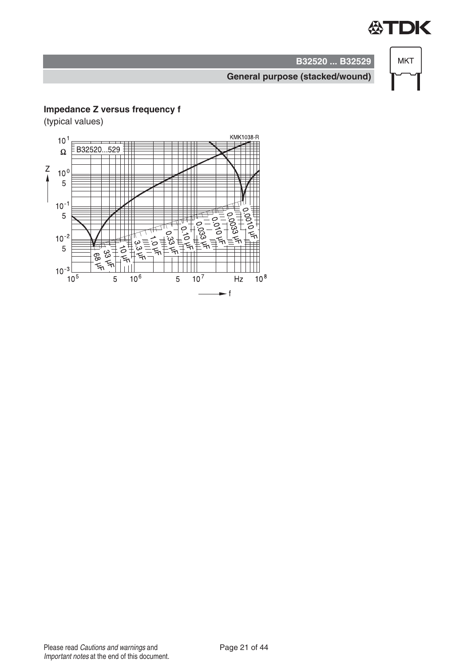



#### **General purpose (stacked/wound)**

#### **Impedance Z versus frequency f**

(typical values)

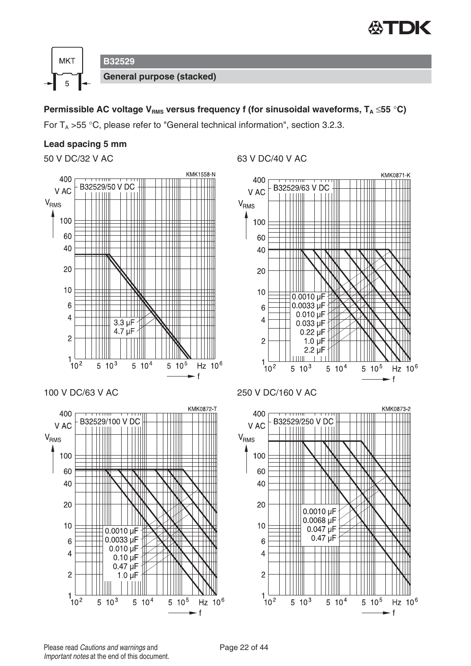



#### **Permissible AC voltage V<sub>RMS</sub> versus frequency f (for sinusoidal waveforms,**  $T_A \le 55$  **°C)**

For  $T_A > 55$  °C, please refer to "General technical information", section 3.2.3.

#### **Lead spacing 5 mm**





 $5\sqrt{10^5}$ 

Hz  $10^6$ 

f.







 $5\sqrt{10^3}$ 

 $5 10^4$ 

 $1\frac{1}{10^2}$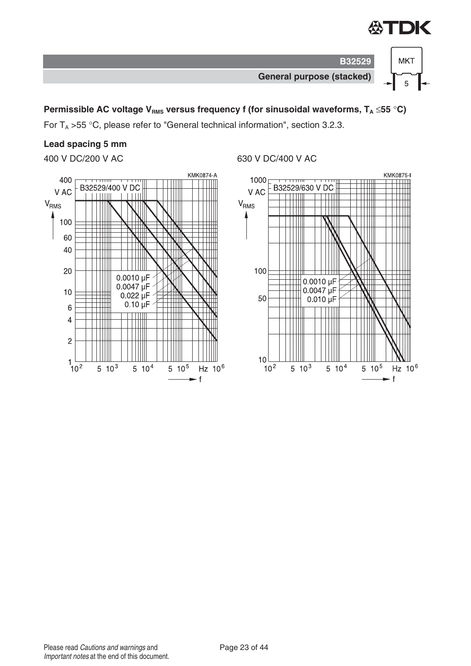

5



#### **Permissible AC voltage V<sub>RMS</sub> versus frequency f (for sinusoidal waveforms, T<sub>A</sub> ≤55 °C)**

For  $T_A > 55$  °C, please refer to "General technical information", section 3.2.3.

#### **Lead spacing 5 mm**



#### 400 V DC/200 V AC 630 V DC/400 V AC

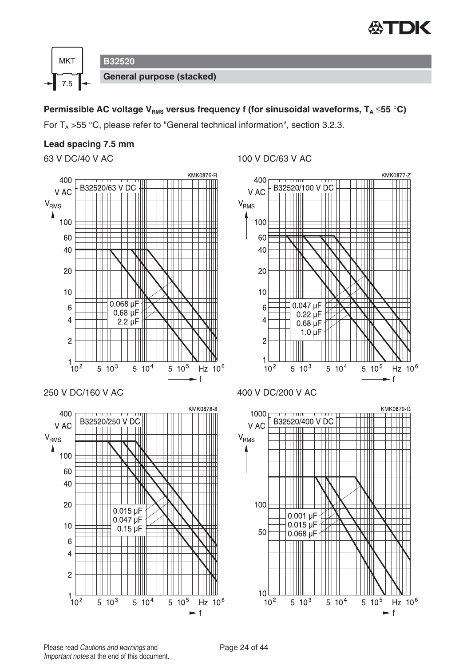



#### **Permissible AC voltage V<sub>RMS</sub> versus frequency f (for sinusoidal waveforms,**  $T_A \le 55$  **°C)**

For  $T_A > 55$  °C, please refer to "General technical information", section 3.2.3.

#### **Lead spacing 7.5 mm**









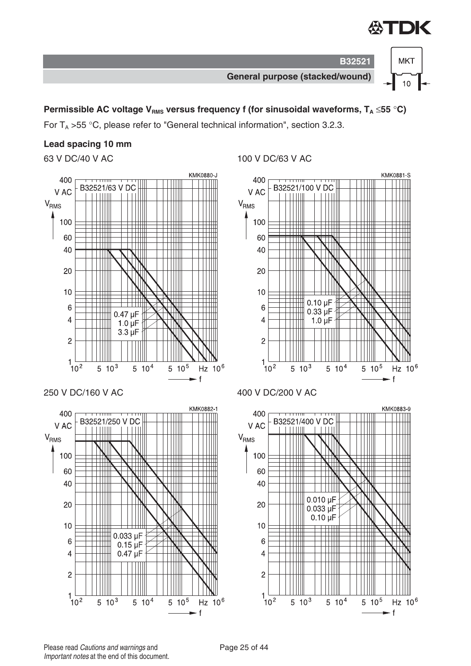

 $10$ 



**B32521**

#### **Permissible AC voltage V<sub>RMS</sub> versus frequency f (for sinusoidal waveforms, T<sub>A</sub> ≤55 °C)**

For  $T_A > 55$  °C, please refer to "General technical information", section 3.2.3.

#### **Lead spacing 10 mm**





#### 63 V DC/40 V AC 100 V DC/63 V AC







Please read Cautions and warnings and <br>
Page 25 of 44 Important notes at the end of this document.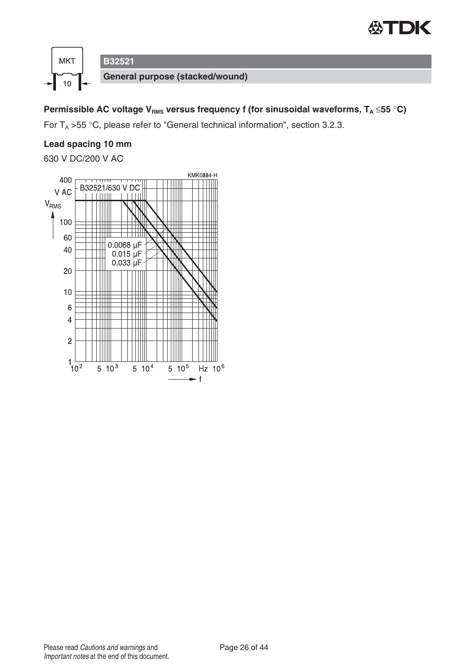



## **Permissible AC voltage V<sub>RMS</sub> versus frequency f (for sinusoidal waveforms, T<sub>A</sub> ≤55 °C)**

For  $T_A > 55$  °C, please refer to "General technical information", section 3.2.3.

#### **Lead spacing 10 mm**

630 V DC/200 V AC

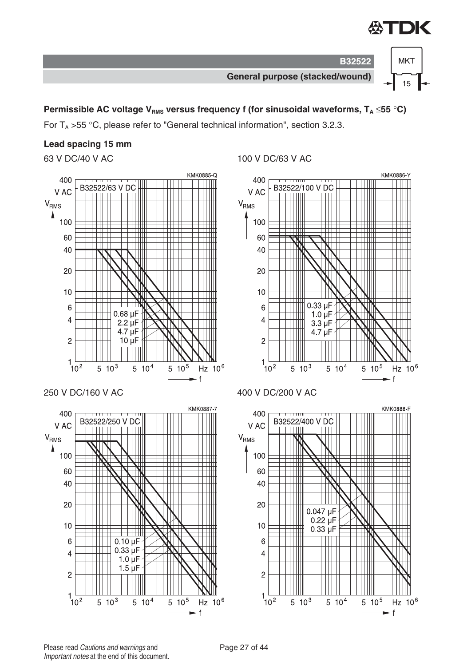

 $15$ 

**General purpose (stacked/wound)**

**B32522**

#### **Permissible AC voltage V<sub>RMS</sub> versus frequency f (for sinusoidal waveforms, T<sub>A</sub> ≤55 °C)**

For  $T_A > 55$  °C, please refer to "General technical information", section 3.2.3.

#### **Lead spacing 15 mm**

60

40

20

 $10$ 

 $6\phantom{1}6$ 

 $\overline{4}$ 

 $\overline{2}$ 

 $1\frac{1}{10^2}$ 

Ш

 $0.10 \mu F$ 

 $0.33 \mu F$ 

 $1.0 \mu F$ 

 $1.5$  uF

 $5 10^4$ 



 $5 10^5$ 

Hz  $10^6$ 

f.

63 V DC/40 V AC 100 V DC/63 V AC





Please read Cautions and warnings and <br>
Page 27 of 44 Important notes at the end of this document.

 $5 \t10^3$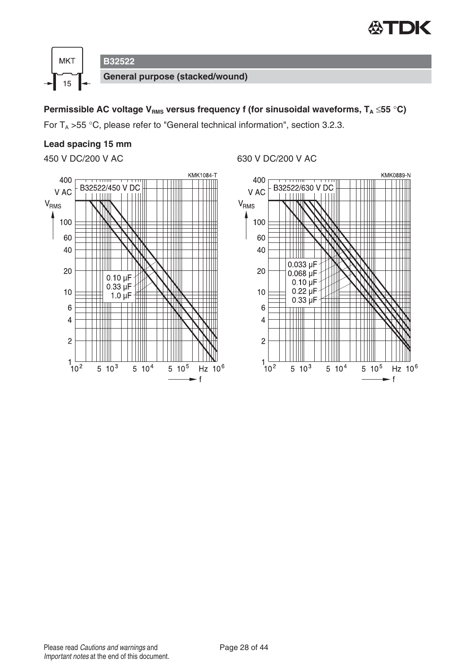



#### **Permissible AC voltage V<sub>RMS</sub> versus frequency f (for sinusoidal waveforms, T<sub>A</sub> ≤55 °C)**

For  $T_A > 55$  °C, please refer to "General technical information", section 3.2.3.

#### **Lead spacing 15 mm**



450 V DC/200 V AC 630 V DC/200 V AC

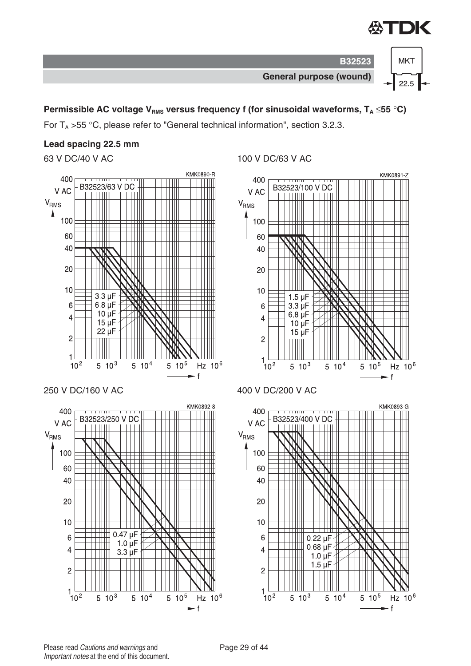

 $22.5$   $\rightarrow$ 



#### **Permissible AC voltage V<sub>RMS</sub> versus frequency f (for sinusoidal waveforms,**  $T_A \le 55$  **°C)**

For  $T_A > 55$  °C, please refer to "General technical information", section 3.2.3.

#### **Lead spacing 22.5 mm**

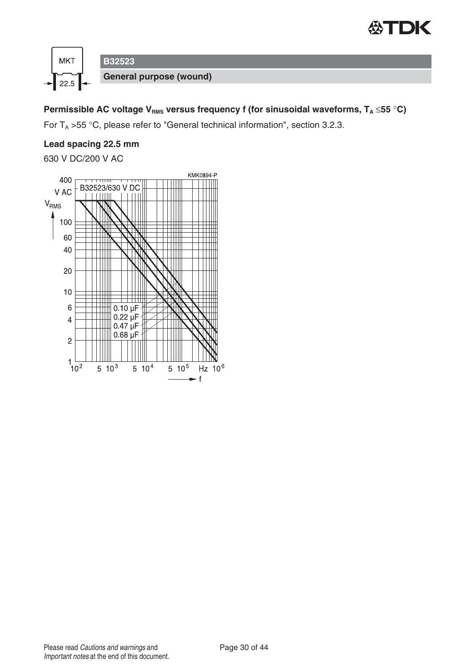



### **Permissible AC voltage V<sub>RMS</sub> versus frequency f (for sinusoidal waveforms, T<sub>A</sub> ≤55 °C)**

For  $T_A > 55$  °C, please refer to "General technical information", section 3.2.3.

#### **Lead spacing 22.5 mm**

630 V DC/200 V AC

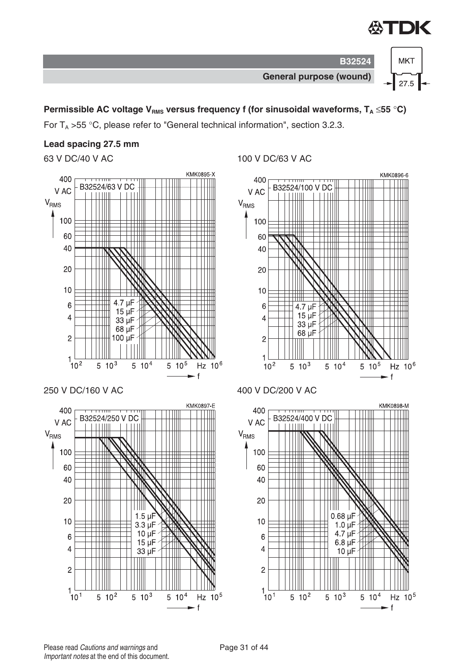



#### **Permissible AC voltage V<sub>RMS</sub> versus frequency f (for sinusoidal waveforms,**  $T_A \le 55$  **°C)**

For  $T_A > 55$  °C, please refer to "General technical information", section 3.2.3.

#### **Lead spacing 27.5 mm**



ШШ

 $1.5 \mu F$ 

 $3.3 \mu F$ 

 $10 \mu F$ 

 $15 \mu F$ 

 $33 \mu F$ 

 $5 \t10^3$ 

 $5 10^4$ 

Hz 10<sup>5</sup>

 $\mathbf{f}$ 

63 V DC/40 V AC 100 V DC/63 V AC



 $5 \frac{10^2}{ }$ 

₩

₩ Ш

40

20

 $10$ 

6

 $\overline{4}$ 

 $\overline{c}$ 

 $1\frac{1}{10}$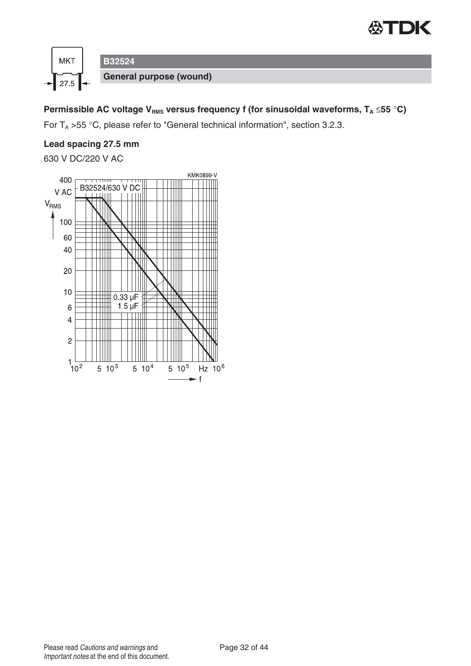



### **Permissible AC voltage V<sub>RMS</sub> versus frequency f (for sinusoidal waveforms, T<sub>A</sub> ≤55 °C)**

For  $T_A > 55$  °C, please refer to "General technical information", section 3.2.3.

#### **Lead spacing 27.5 mm**

630 V DC/220 V AC

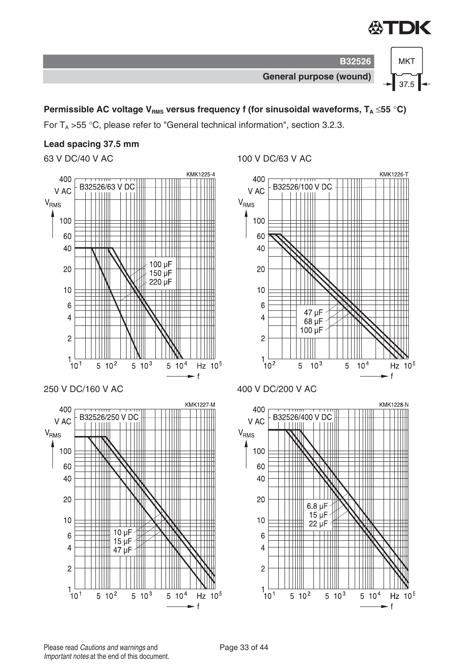

 $37.5$ 

 $\mathsf{f}$ 



#### **Permissible AC voltage V<sub>RMS</sub> versus frequency f (for sinusoidal waveforms,**  $T_A \le 55$  **°C)**

For  $T_A > 55$  °C, please refer to "General technical information", section 3.2.3.

#### **Lead spacing 37.5 mm**



63 V DC/40 V AC 100 V DC/63 V AC

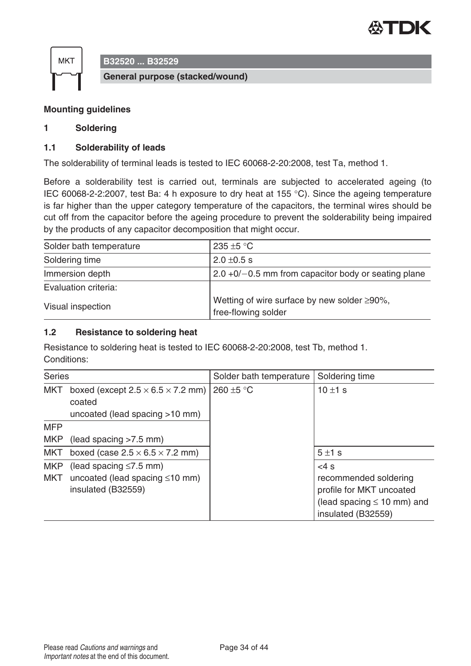



#### **Mounting guidelines**

#### **1 Soldering**

#### **1.1 Solderability of leads**

The solderability of terminal leads is tested to IEC 60068-2-20:2008, test Ta, method 1.

Before a solderability test is carried out, terminals are subjected to accelerated ageing (to IEC 60068-2-2:2007, test Ba: 4 h exposure to dry heat at 155 °C). Since the ageing temperature is far higher than the upper category temperature of the capacitors, the terminal wires should be cut off from the capacitor before the ageing procedure to prevent the solderability being impaired by the products of any capacitor decomposition that might occur.

| Solder bath temperature | 235 $\pm$ 5 °C                                                             |
|-------------------------|----------------------------------------------------------------------------|
| Soldering time          | $2.0 \pm 0.5$ s                                                            |
| Immersion depth         | $2.0 + 0/- 0.5$ mm from capacitor body or seating plane                    |
| Evaluation criteria:    |                                                                            |
| Visual inspection       | Wetting of wire surface by new solder $\geq 90\%$ ,<br>free-flowing solder |

#### **1.2 Resistance to soldering heat**

Resistance to soldering heat is tested to IEC 60068-2-20:2008, test Tb, method 1. Conditions:

| <b>Series</b>            |                                                                                            | Solder bath temperature | Soldering time                                                                                                       |
|--------------------------|--------------------------------------------------------------------------------------------|-------------------------|----------------------------------------------------------------------------------------------------------------------|
| <b>MKT</b>               | boxed (except $2.5 \times 6.5 \times 7.2$ mm)<br>coated<br>uncoated (lead spacing >10 mm)  | 260 ±5 °C               | 10 $\pm$ 1 s                                                                                                         |
| <b>MFP</b>               |                                                                                            |                         |                                                                                                                      |
| <b>MKP</b>               | (lead spacing > 7.5 mm)                                                                    |                         |                                                                                                                      |
| <b>MKT</b>               | boxed (case $2.5 \times 6.5 \times 7.2$ mm)                                                |                         | 5±1s                                                                                                                 |
| <b>MKP</b><br><b>MKT</b> | (lead spacing $\leq 7.5$ mm)<br>uncoated (lead spacing $\leq 10$ mm)<br>insulated (B32559) |                         | $<4$ s<br>recommended soldering<br>profile for MKT uncoated<br>(lead spacing $\leq 10$ mm) and<br>insulated (B32559) |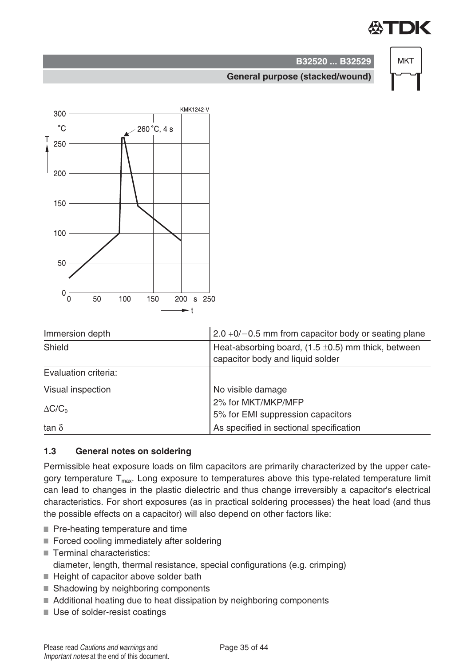# TDK



# **B32520 ... B32529**

#### **General purpose (stacked/wound)**



| Immersion depth      | $2.0 + 0/- 0.5$ mm from capacitor body or seating plane                                     |
|----------------------|---------------------------------------------------------------------------------------------|
| Shield               | Heat-absorbing board, $(1.5 \pm 0.5)$ mm thick, between<br>capacitor body and liquid solder |
| Evaluation criteria: |                                                                                             |
| Visual inspection    | No visible damage                                                                           |
| $\Delta C/C_0$       | 2% for MKT/MKP/MFP<br>5% for EMI suppression capacitors                                     |
| tan $\delta$         | As specified in sectional specification                                                     |

#### **1.3 General notes on soldering**

Permissible heat exposure loads on film capacitors are primarily characterized by the upper category temperature  $T_{\text{max}}$ . Long exposure to temperatures above this type-related temperature limit can lead to changes in the plastic dielectric and thus change irreversibly a capacitor's electrical characteristics. For short exposures (as in practical soldering processes) the heat load (and thus the possible effects on a capacitor) will also depend on other factors like:

- Pre-heating temperature and time
- Forced cooling immediately after soldering
- Terminal characteristics: diameter, length, thermal resistance, special configurations (e.g. crimping)
- $\blacksquare$  Height of capacitor above solder bath
- Shadowing by neighboring components
- Additional heating due to heat dissipation by neighboring components
- Use of solder-resist coatings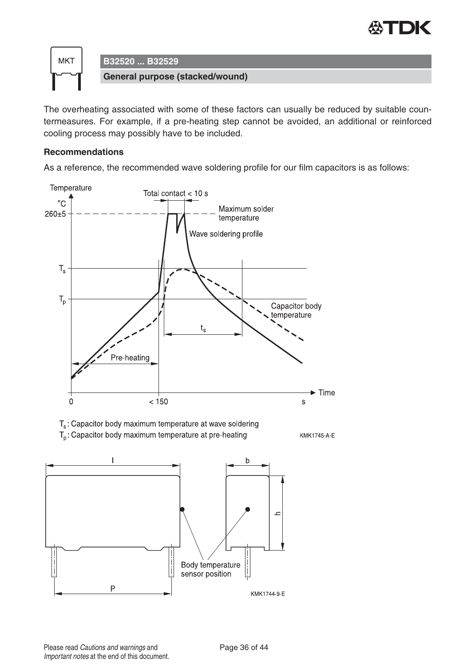



The overheating associated with some of these factors can usually be reduced by suitable countermeasures. For example, if a pre-heating step cannot be avoided, an additional or reinforced cooling process may possibly have to be included.

#### **Recommendations**

As a reference, the recommended wave soldering profile for our film capacitors is as follows:



Please read Cautions and warnings and <br>
Page 36 of 44 Important notes at the end of this document.

 $\overline{P}$ 

KMK1744-9-E

sensor position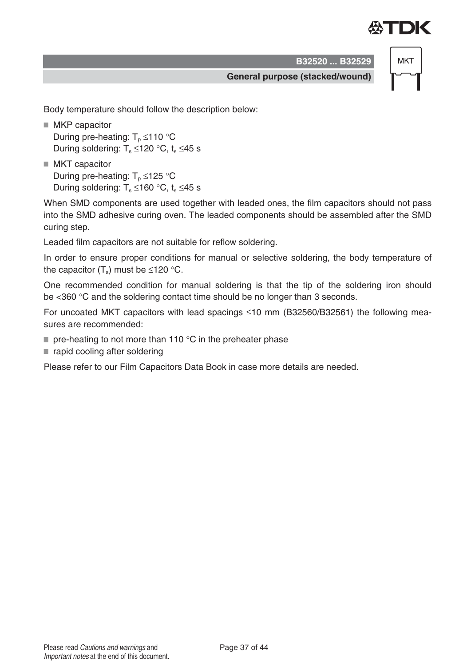

**MKT** 

**General purpose (stacked/wound)**

Body temperature should follow the description below:

- MKP capacitor During pre-heating:  $T_p \le 110$  °C During soldering:  $T_s \le 120$  °C, t<sub>s</sub>  $\le 45$  s
- MKT capacitor During pre-heating:  $T_p \le 125$  °C During soldering:  $T_s \le 160$  °C,  $t_s \le 45$  s

When SMD components are used together with leaded ones, the film capacitors should not pass into the SMD adhesive curing oven. The leaded components should be assembled after the SMD curing step.

Leaded film capacitors are not suitable for reflow soldering.

In order to ensure proper conditions for manual or selective soldering, the body temperature of the capacitor  $(T_s)$  must be ≤120 °C.

One recommended condition for manual soldering is that the tip of the soldering iron should be <360 °C and the soldering contact time should be no longer than 3 seconds.

For uncoated MKT capacitors with lead spacings  $\leq$ 10 mm (B32560/B32561) the following measures are recommended:

- $\blacksquare$  pre-heating to not more than 110 °C in the preheater phase
- rapid cooling after soldering

Please refer to our Film Capacitors Data Book in case more details are needed.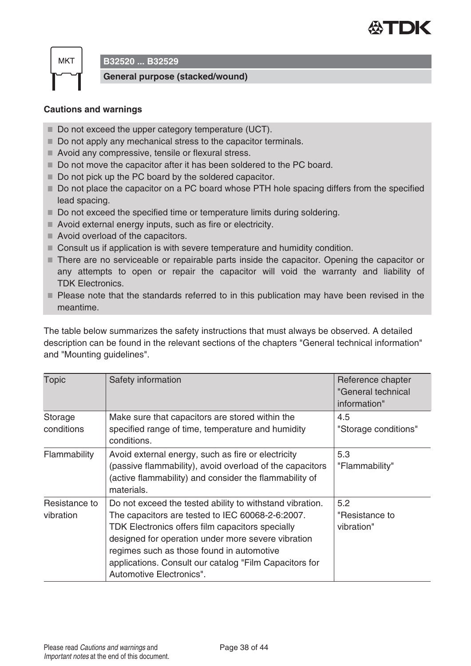

**B32520 ... B32529**

**General purpose (stacked/wound)**

#### **Cautions and warnings**

- Do not exceed the upper category temperature (UCT).
- Do not apply any mechanical stress to the capacitor terminals.
- Avoid any compressive, tensile or flexural stress.
- Do not move the capacitor after it has been soldered to the PC board.
- Do not pick up the PC board by the soldered capacitor.
- Do not place the capacitor on a PC board whose PTH hole spacing differs from the specified lead spacing.
- Do not exceed the specified time or temperature limits during soldering.
- Avoid external energy inputs, such as fire or electricity.
- Avoid overload of the capacitors.
- Consult us if application is with severe temperature and humidity condition.
- There are no serviceable or repairable parts inside the capacitor. Opening the capacitor or any attempts to open or repair the capacitor will void the warranty and liability of TDK Electronics.
- **Please note that the standards referred to in this publication may have been revised in the** meantime.

The table below summarizes the safety instructions that must always be observed. A detailed description can be found in the relevant sections of the chapters "General technical information" and "Mounting guidelines".

| <b>Topic</b>               | Safety information                                                                                                                                                                                                                                                                                                                                        | Reference chapter<br>"General technical<br>information" |
|----------------------------|-----------------------------------------------------------------------------------------------------------------------------------------------------------------------------------------------------------------------------------------------------------------------------------------------------------------------------------------------------------|---------------------------------------------------------|
| Storage<br>conditions      | Make sure that capacitors are stored within the<br>specified range of time, temperature and humidity<br>conditions.                                                                                                                                                                                                                                       | 4.5<br>"Storage conditions"                             |
| Flammability               | Avoid external energy, such as fire or electricity<br>(passive flammability), avoid overload of the capacitors<br>(active flammability) and consider the flammability of<br>materials.                                                                                                                                                                    | 5.3<br>"Flammability"                                   |
| Resistance to<br>vibration | Do not exceed the tested ability to withstand vibration.<br>The capacitors are tested to IEC 60068-2-6:2007.<br>TDK Electronics offers film capacitors specially<br>designed for operation under more severe vibration<br>regimes such as those found in automotive<br>applications. Consult our catalog "Film Capacitors for<br>Automotive Electronics". | 5.2<br>"Resistance to<br>vibration"                     |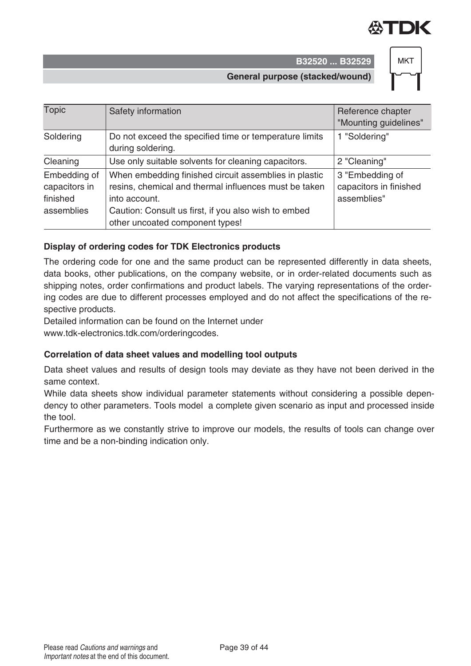



**General purpose (stacked/wound)**

| <b>Topic</b>                                            | Safety information                                                                                                                                                                                                         | Reference chapter<br>"Mounting guidelines"               |
|---------------------------------------------------------|----------------------------------------------------------------------------------------------------------------------------------------------------------------------------------------------------------------------------|----------------------------------------------------------|
| Soldering                                               | Do not exceed the specified time or temperature limits<br>during soldering.                                                                                                                                                | 1 "Soldering"                                            |
| Cleaning                                                | Use only suitable solvents for cleaning capacitors.                                                                                                                                                                        | 2 "Cleaning"                                             |
| Embedding of<br>capacitors in<br>finished<br>assemblies | When embedding finished circuit assemblies in plastic<br>resins, chemical and thermal influences must be taken<br>into account.<br>Caution: Consult us first, if you also wish to embed<br>other uncoated component types! | 3 "Embedding of<br>capacitors in finished<br>assemblies" |

#### **Display of ordering codes for TDK Electronics products**

The ordering code for one and the same product can be represented differently in data sheets, data books, other publications, on the company website, or in order-related documents such as shipping notes, order confirmations and product labels. The varying representations of the ordering codes are due to different processes employed and do not affect the specifications of the respective products.

Detailed information can be found on the Internet under

www.tdk-electronics.tdk.com/orderingcodes.

#### Correlation of data sheet values and modelling tool outputs

Data sheet values and results of design tools may deviate as they have not been derived in the same context.

While data sheets show individual parameter statements without considering a possible dependency to other parameters. Tools model a complete given scenario as input and processed inside the tool.

Furthermore as we constantly strive to improve our models, the results of tools can change over time and be a non-binding indication only.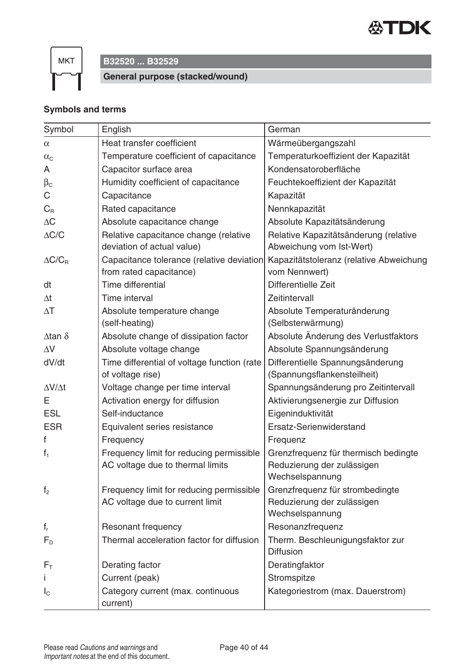

# **B32520 ... B32529**

**General purpose (stacked/wound)**

#### **Symbols and terms**

| Symbol              | English                                                                      | German                                                                                |
|---------------------|------------------------------------------------------------------------------|---------------------------------------------------------------------------------------|
| $\alpha$            | Heat transfer coefficient                                                    | Wärmeübergangszahl                                                                    |
| $\alpha_{\text{C}}$ | Temperature coefficient of capacitance                                       | Temperaturkoeffizient der Kapazität                                                   |
| A                   | Capacitor surface area                                                       | Kondensatoroberfläche                                                                 |
| $\beta_{\rm C}$     | Humidity coefficient of capacitance                                          | Feuchtekoeffizient der Kapazität                                                      |
| С                   | Capacitance                                                                  | Kapazität                                                                             |
| $C_R$               | Rated capacitance                                                            | Nennkapazität                                                                         |
| $\Delta C$          | Absolute capacitance change                                                  | Absolute Kapazitätsänderung                                                           |
| $\Delta{\rm C/C}$   | Relative capacitance change (relative<br>deviation of actual value)          | Relative Kapazitätsänderung (relative<br>Abweichung vom Ist-Wert)                     |
| $\Delta C/C_R$      | Capacitance tolerance (relative deviation<br>from rated capacitance)         | Kapazitätstoleranz (relative Abweichung<br>vom Nennwert)                              |
| dt                  | Time differential                                                            | Differentielle Zeit                                                                   |
| $\Delta t$          | Time interval                                                                | Zeitintervall                                                                         |
| $\Delta T$          | Absolute temperature change                                                  | Absolute Temperaturänderung                                                           |
|                     | (self-heating)                                                               | (Selbsterwärmung)                                                                     |
| Δ tan δ             | Absolute change of dissipation factor                                        | Absolute Änderung des Verlustfaktors                                                  |
| $\Delta V$          | Absolute voltage change                                                      | Absolute Spannungsänderung                                                            |
| dV/dt               | Time differential of voltage function (rate                                  | Differentielle Spannungsänderung                                                      |
|                     | of voltage rise)                                                             | (Spannungsflankensteilheit)                                                           |
| $\Delta V/\Delta t$ | Voltage change per time interval                                             | Spannungsänderung pro Zeitintervall                                                   |
| Е                   | Activation energy for diffusion                                              | Aktivierungsenergie zur Diffusion                                                     |
| <b>ESL</b>          | Self-inductance                                                              | Eigeninduktivität                                                                     |
| <b>ESR</b>          | Equivalent series resistance                                                 | Ersatz-Serienwiderstand                                                               |
| f                   | Frequency                                                                    | Frequenz                                                                              |
| $f_1$               | Frequency limit for reducing permissible<br>AC voltage due to thermal limits | Grenzfrequenz für thermisch bedingte<br>Reduzierung der zulässigen<br>Wechselspannung |
| f <sub>2</sub>      | Frequency limit for reducing permissible<br>AC voltage due to current limit  | Grenzfrequenz für strombedingte<br>Reduzierung der zulässigen<br>Wechselspannung      |
| $f_r$               | Resonant frequency                                                           | Resonanzfrequenz                                                                      |
| $F_{D}$             | Thermal acceleration factor for diffusion                                    | Therm. Beschleunigungsfaktor zur<br><b>Diffusion</b>                                  |
| $F_{\rm T}$         | Derating factor                                                              | Deratingfaktor                                                                        |
|                     | Current (peak)                                                               | Stromspitze                                                                           |
| $I_{\rm C}$         | Category current (max. continuous<br>current)                                | Kategoriestrom (max. Dauerstrom)                                                      |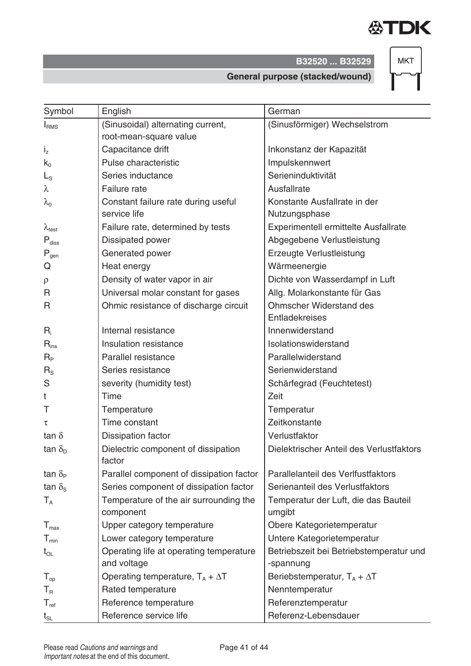

**MKT** 

**General purpose (stacked/wound)**

| Symbol                      | English                                             | German                                         |
|-----------------------------|-----------------------------------------------------|------------------------------------------------|
| I <sub>RMS</sub>            | (Sinusoidal) alternating current,                   | (Sinusförmiger) Wechselstrom                   |
|                             | root-mean-square value                              |                                                |
| $i_z$                       | Capacitance drift                                   | Inkonstanz der Kapazität                       |
| $k_0$                       | Pulse characteristic                                | Impulskennwert                                 |
| $L_{\rm S}$                 | Series inductance                                   | Serieninduktivität                             |
| λ                           | Failure rate                                        | Ausfallrate                                    |
| $\lambda_{\rm o}$           | Constant failure rate during useful                 | Konstante Ausfallrate in der                   |
|                             | service life                                        | Nutzungsphase                                  |
| $\lambda_{\text{test}}$     | Failure rate, determined by tests                   | Experimentell ermittelte Ausfallrate           |
| $P_{\text{diss}}$           | Dissipated power                                    | Abgegebene Verlustleistung                     |
| $P_{gen}$                   | Generated power                                     | Erzeugte Verlustleistung                       |
| Q                           | Heat energy                                         | Wärmeenergie                                   |
| $\rho$                      | Density of water vapor in air                       | Dichte von Wasserdampf in Luft                 |
| R                           | Universal molar constant for gases                  | Allg. Molarkonstante für Gas                   |
| R                           | Ohmic resistance of discharge circuit               | <b>Ohmscher Widerstand des</b>                 |
|                             |                                                     | Entladekreises                                 |
| $R_i$                       | Internal resistance                                 | Innenwiderstand                                |
| $R_{ins}$                   | Insulation resistance                               | Isolationswiderstand                           |
| $R_{P}$                     | Parallel resistance                                 | Parallelwiderstand                             |
| $R_{\rm S}$                 | Series resistance                                   | Serienwiderstand                               |
| S                           | severity (humidity test)                            | Schärfegrad (Feuchtetest)                      |
| t                           | Time                                                | Zeit                                           |
| Τ                           | Temperature                                         | Temperatur                                     |
| τ                           | Time constant                                       | Zeitkonstante                                  |
| tan $\delta$                | <b>Dissipation factor</b>                           | Verlustfaktor                                  |
| tan $\delta_{\rm D}$        | Dielectric component of dissipation<br>factor       | Dielektrischer Anteil des Verlustfaktors       |
| tan $\delta_{\rm P}$        | Parallel component of dissipation factor            | Parallelanteil des Verlfustfaktors             |
| tan $\delta_{\rm s}$        | Series component of dissipation factor              | Serienanteil des Verlustfaktors                |
| $T_A$                       | Temperature of the air surrounding the<br>component | Temperatur der Luft, die das Bauteil<br>umgibt |
| $T_{\text{max}}$            | Upper category temperature                          | Obere Kategorietemperatur                      |
| $\mathsf{T}_{\mathsf{min}}$ | Lower category temperature                          | Untere Kategorietemperatur                     |
| $t_{OL}$                    | Operating life at operating temperature             | Betriebszeit bei Betriebstemperatur und        |
|                             | and voltage                                         | -spannung                                      |
| $T_{op}$                    | Operating temperature, $T_A + \Delta T$             | Beriebstemperatur, $T_A + \Delta T$            |
| $T_R$                       | Rated temperature                                   | Nenntemperatur                                 |
| $T_{ref}$                   | Reference temperature                               | Referenztemperatur                             |
| $t_{\scriptstyle\rm SL}$    | Reference service life                              | Referenz-Lebensdauer                           |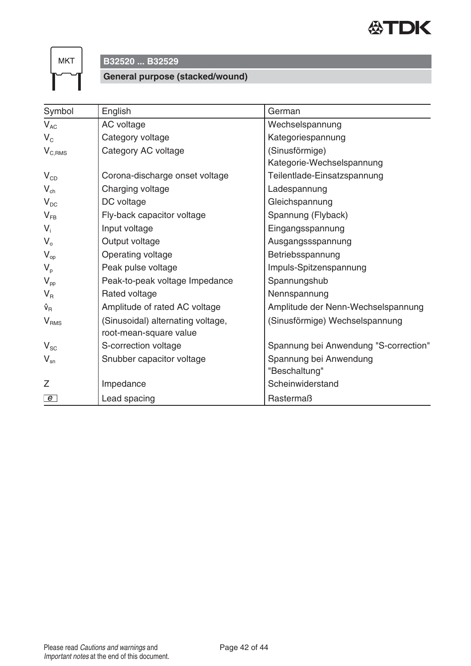

# **B32520 ... B32529**

#### **General purpose (stacked/wound)**

| Symbol                          | English                           | German                                |
|---------------------------------|-----------------------------------|---------------------------------------|
| $V_{AC}$                        | AC voltage                        | Wechselspannung                       |
| $V_{C}$                         | Category voltage                  | Kategoriespannung                     |
| $V_{C,RMS}$                     | Category AC voltage               | (Sinusförmige)                        |
|                                 |                                   | Kategorie-Wechselspannung             |
| $V_{CD}$                        | Corona-discharge onset voltage    | Teilentlade-Einsatzspannung           |
| $V_{ch}$                        | Charging voltage                  | Ladespannung                          |
| $V_{DC}$                        | DC voltage                        | Gleichspannung                        |
| $V_{FB}$                        | Fly-back capacitor voltage        | Spannung (Flyback)                    |
| $V_i$                           | Input voltage                     | Eingangsspannung                      |
| $V_{o}$                         | Output voltage                    | Ausgangssspannung                     |
| $V_{op}$                        | Operating voltage                 | Betriebsspannung                      |
| $V_{p}$                         | Peak pulse voltage                | Impuls-Spitzenspannung                |
| $V_{\text{pp}}$                 | Peak-to-peak voltage Impedance    | Spannungshub                          |
| $V_{R}$                         | Rated voltage                     | Nennspannung                          |
| $\hat{\mathsf{v}}_{\mathsf{R}}$ | Amplitude of rated AC voltage     | Amplitude der Nenn-Wechselspannung    |
| V <sub>RMS</sub>                | (Sinusoidal) alternating voltage, | (Sinusförmige) Wechselspannung        |
|                                 | root-mean-square value            |                                       |
| $V_{\rm SC}$                    | S-correction voltage              | Spannung bei Anwendung "S-correction" |
| $V_{\rm sn}$                    | Snubber capacitor voltage         | Spannung bei Anwendung                |
|                                 |                                   | "Beschaltung"                         |
| Z                               | Impedance                         | Scheinwiderstand                      |
| e                               | Lead spacing                      | Rastermaß                             |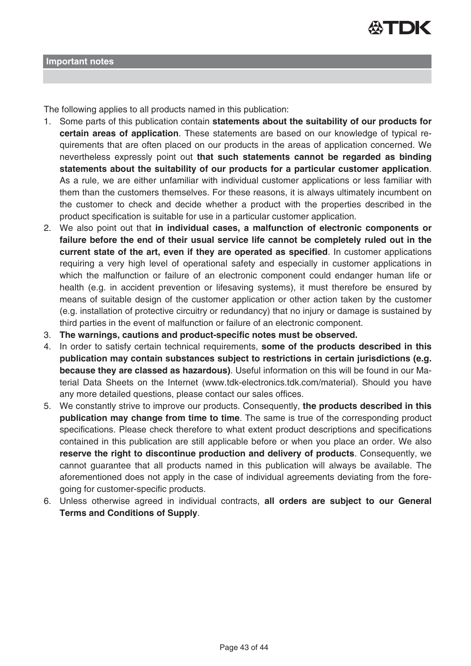

The following applies to all products named in this publication:

- 1. Some parts of this publication contain **statements about the suitability of our products for certain areas of application**. These statements are based on our knowledge of typical requirements that are often placed on our products in the areas of application concerned. We nevertheless expressly point out **that such statements cannot be regarded as binding statements about the suitability of our products for a particular customer application**. As a rule, we are either unfamiliar with individual customer applications or less familiar with them than the customers themselves. For these reasons, it is always ultimately incumbent on the customer to check and decide whether a product with the properties described in the product specification is suitable for use in a particular customer application.
- 2. We also point out that **in individual cases, a malfunction of electronic components or failure before the end of their usual service life cannot be completely ruled out in the current state of the art, even if they are operated as specified**. In customer applications requiring a very high level of operational safety and especially in customer applications in which the malfunction or failure of an electronic component could endanger human life or health (e.g. in accident prevention or lifesaving systems), it must therefore be ensured by means of suitable design of the customer application or other action taken by the customer (e.g. installation of protective circuitry or redundancy) that no injury or damage is sustained by third parties in the event of malfunction or failure of an electronic component.
- 3. **The warnings, cautions and product-specific notes must be observed.**
- 4. In order to satisfy certain technical requirements, **some of the products described in this publication may contain substances subject to restrictions in certain jurisdictions (e.g. because they are classed as hazardous)**. Useful information on this will be found in our Material Data Sheets on the Internet (www.tdk-electronics.tdk.com/material). Should you have any more detailed questions, please contact our sales offices.
- 5. We constantly strive to improve our products. Consequently, **the products described in this publication may change from time to time**. The same is true of the corresponding product specifications. Please check therefore to what extent product descriptions and specifications contained in this publication are still applicable before or when you place an order. We also **reserve the right to discontinue production and delivery of products**. Consequently, we cannot guarantee that all products named in this publication will always be available. The aforementioned does not apply in the case of individual agreements deviating from the foregoing for customer-specific products.
- 6. Unless otherwise agreed in individual contracts, **all orders are subject to our General Terms and Conditions of Supply**.